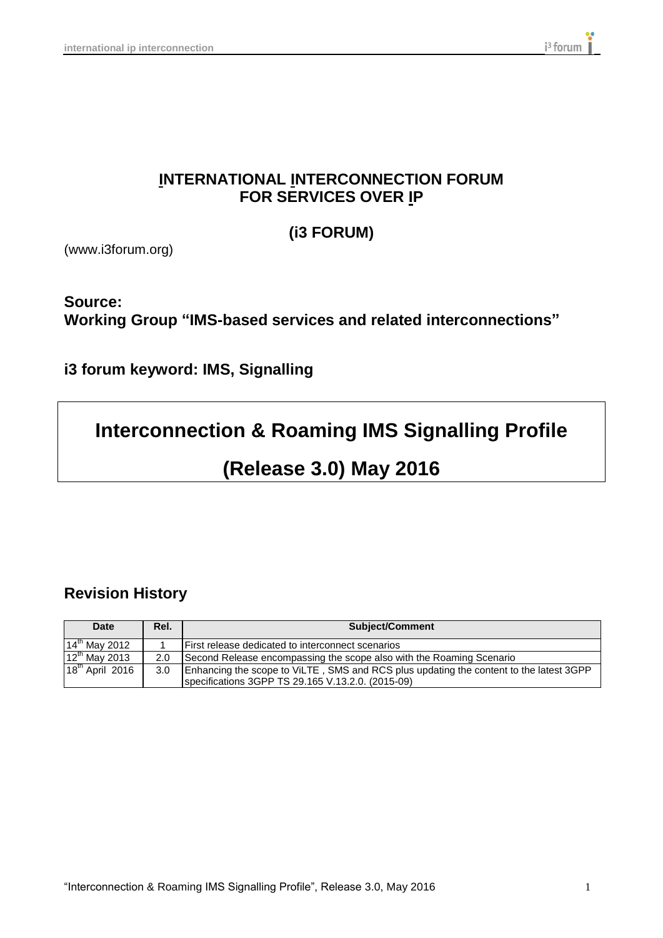## **INTERNATIONAL INTERCONNECTION FORUM FOR SERVICES OVER IP**

**(i3 FORUM)**

(www.i3forum.org)

## **Source: Working Group "IMS-based services and related interconnections"**

**i3 forum keyword: IMS, Signalling**

# **Interconnection & Roaming IMS Signalling Profile**

# **(Release 3.0) May 2016**

## **Revision History**

| <b>Date</b>                 | Rel. | <b>Subject/Comment</b>                                                                                                                      |  |
|-----------------------------|------|---------------------------------------------------------------------------------------------------------------------------------------------|--|
| $14^{\text{th}}$ May 2012   |      | First release dedicated to interconnect scenarios                                                                                           |  |
| $12^{\text{th}}$ May 2013   | 2.0  | Second Release encompassing the scope also with the Roaming Scenario                                                                        |  |
| 18 <sup>th</sup> April 2016 | 3.0  | Enhancing the scope to ViLTE, SMS and RCS plus updating the content to the latest 3GPP<br>specifications 3GPP TS 29.165 V.13.2.0. (2015-09) |  |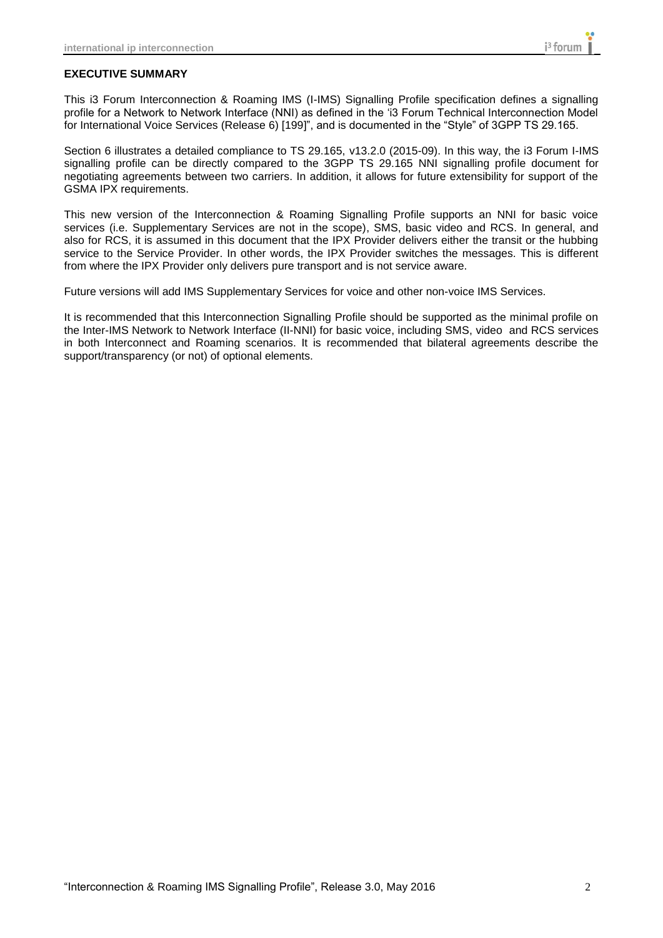#### **EXECUTIVE SUMMARY**

This i3 Forum Interconnection & Roaming IMS (I-IMS) Signalling Profile specification defines a signalling profile for a Network to Network Interface (NNI) as defined in the 'i3 Forum Technical Interconnection Model for International Voice Services (Release 6) [199]", and is documented in the "Style" of 3GPP TS 29.165.

Section 6 illustrates a detailed compliance to TS 29.165, v13.2.0 (2015-09). In this way, the i3 Forum I-IMS signalling profile can be directly compared to the 3GPP TS 29.165 NNI signalling profile document for negotiating agreements between two carriers. In addition, it allows for future extensibility for support of the GSMA IPX requirements.

This new version of the Interconnection & Roaming Signalling Profile supports an NNI for basic voice services (i.e. Supplementary Services are not in the scope), SMS, basic video and RCS. In general, and also for RCS, it is assumed in this document that the IPX Provider delivers either the transit or the hubbing service to the Service Provider. In other words, the IPX Provider switches the messages. This is different from where the IPX Provider only delivers pure transport and is not service aware.

Future versions will add IMS Supplementary Services for voice and other non-voice IMS Services.

It is recommended that this Interconnection Signalling Profile should be supported as the minimal profile on the Inter-IMS Network to Network Interface (II-NNI) for basic voice, including SMS, video and RCS services in both Interconnect and Roaming scenarios. It is recommended that bilateral agreements describe the support/transparency (or not) of optional elements.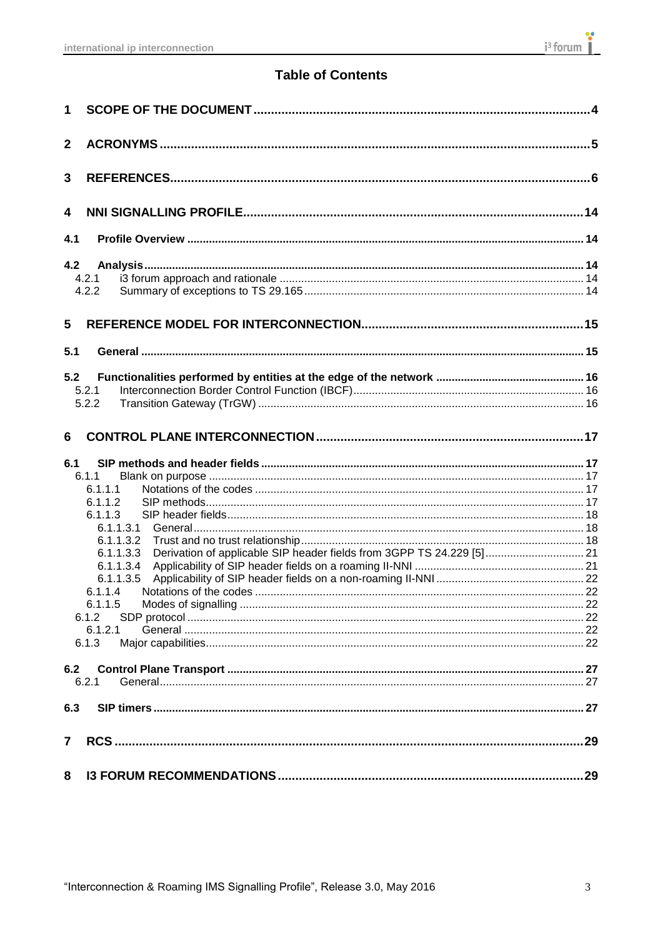## **Table of Contents**

| 1                       |                                                                                                                                                                                                                                     |  |  |  |
|-------------------------|-------------------------------------------------------------------------------------------------------------------------------------------------------------------------------------------------------------------------------------|--|--|--|
| $\mathbf{2}$            |                                                                                                                                                                                                                                     |  |  |  |
| 3                       |                                                                                                                                                                                                                                     |  |  |  |
| 4                       |                                                                                                                                                                                                                                     |  |  |  |
| 4.1                     |                                                                                                                                                                                                                                     |  |  |  |
| 4.2                     | 4.2.1<br>4.2.2                                                                                                                                                                                                                      |  |  |  |
| 5                       |                                                                                                                                                                                                                                     |  |  |  |
| 5.1                     |                                                                                                                                                                                                                                     |  |  |  |
| 5.2                     | 5.2.1<br>5.2.2                                                                                                                                                                                                                      |  |  |  |
| 6                       |                                                                                                                                                                                                                                     |  |  |  |
| 6.1                     | 6.1.1<br>6.1.1.1<br>6.1.1.2<br>6.1.1.3<br>6.1.1.3.1<br>6.1.1.3.2<br>Derivation of applicable SIP header fields from 3GPP TS 24.229 [5] 21<br>6.1.1.3.3<br>6.1.1.3.4<br>6.1.1.3.5<br>6.1.1.4<br>6.1.1.5<br>6.1.2<br>6.1.2.1<br>6.1.3 |  |  |  |
| 6.2                     | 6.2.1                                                                                                                                                                                                                               |  |  |  |
| 6.3                     |                                                                                                                                                                                                                                     |  |  |  |
| $\overline{\mathbf{r}}$ |                                                                                                                                                                                                                                     |  |  |  |
| 8                       |                                                                                                                                                                                                                                     |  |  |  |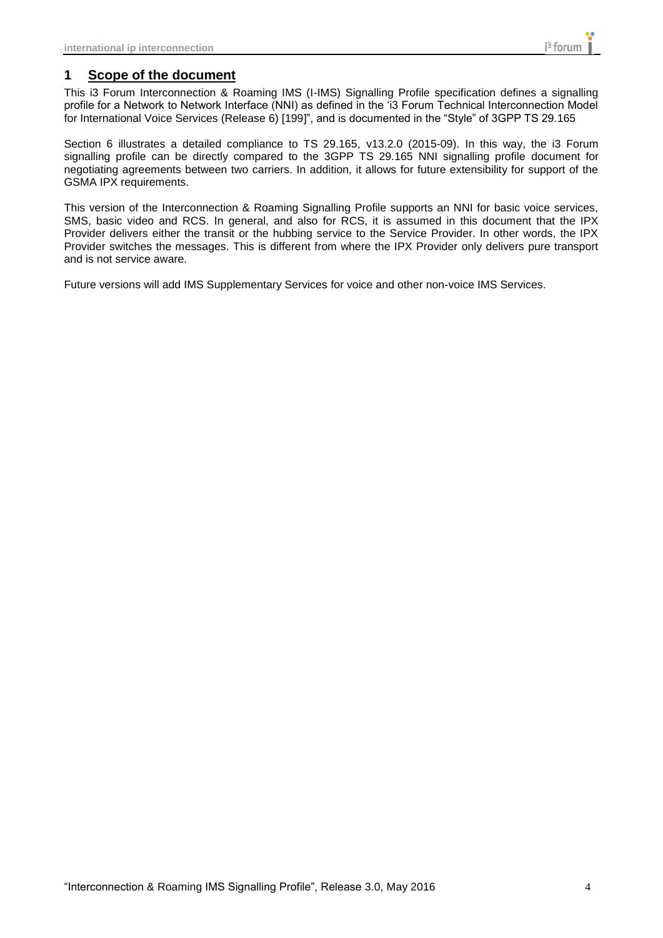### <span id="page-3-0"></span>**1 Scope of the document**

This i3 Forum Interconnection & Roaming IMS (I-IMS) Signalling Profile specification defines a signalling profile for a Network to Network Interface (NNI) as defined in the 'i3 Forum Technical Interconnection Model for International Voice Services (Release 6) [199]", and is documented in the "Style" of 3GPP TS 29.165

Section 6 illustrates a detailed compliance to TS 29.165, v13.2.0 (2015-09). In this way, the i3 Forum signalling profile can be directly compared to the 3GPP TS 29.165 NNI signalling profile document for negotiating agreements between two carriers. In addition, it allows for future extensibility for support of the GSMA IPX requirements.

This version of the Interconnection & Roaming Signalling Profile supports an NNI for basic voice services, SMS, basic video and RCS. In general, and also for RCS, it is assumed in this document that the IPX Provider delivers either the transit or the hubbing service to the Service Provider. In other words, the IPX Provider switches the messages. This is different from where the IPX Provider only delivers pure transport and is not service aware.

Future versions will add IMS Supplementary Services for voice and other non-voice IMS Services.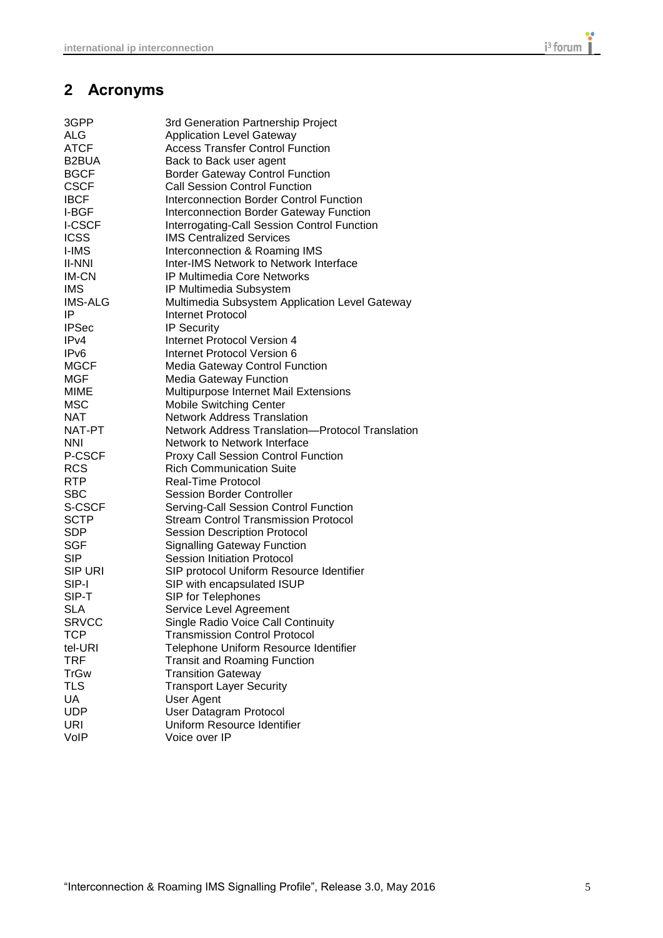## <span id="page-4-0"></span>**2 Acronyms**

| 3GPP             | 3rd Generation Partnership Project               |
|------------------|--------------------------------------------------|
| ALG              | <b>Application Level Gateway</b>                 |
| <b>ATCF</b>      | <b>Access Transfer Control Function</b>          |
| B2BUA            | Back to Back user agent                          |
| <b>BGCF</b>      | <b>Border Gateway Control Function</b>           |
| <b>CSCF</b>      | <b>Call Session Control Function</b>             |
| <b>IBCF</b>      | Interconnection Border Control Function          |
| I-BGF            | <b>Interconnection Border Gateway Function</b>   |
| <b>I-CSCF</b>    | Interrogating-Call Session Control Function      |
| <b>ICSS</b>      | <b>IMS Centralized Services</b>                  |
| <b>I-IMS</b>     | Interconnection & Roaming IMS                    |
| <b>II-NNI</b>    | Inter-IMS Network to Network Interface           |
| IM-CN            | <b>IP Multimedia Core Networks</b>               |
| <b>IMS</b>       | IP Multimedia Subsystem                          |
| <b>IMS-ALG</b>   | Multimedia Subsystem Application Level Gateway   |
| IP               | Internet Protocol                                |
| <b>IPSec</b>     | IP Security                                      |
| IPv4             | Internet Protocol Version 4                      |
| IP <sub>v6</sub> | Internet Protocol Version 6                      |
| <b>MGCF</b>      | <b>Media Gateway Control Function</b>            |
| MGF              | <b>Media Gateway Function</b>                    |
| MIME             | Multipurpose Internet Mail Extensions            |
| <b>MSC</b>       | <b>Mobile Switching Center</b>                   |
| NAT              | <b>Network Address Translation</b>               |
| NAT-PT           | Network Address Translation-Protocol Translation |
| NNI              | Network to Network Interface                     |
| <b>P-CSCF</b>    | <b>Proxy Call Session Control Function</b>       |
| <b>RCS</b>       | <b>Rich Communication Suite</b>                  |
| <b>RTP</b>       | Real-Time Protocol                               |
| <b>SBC</b>       | <b>Session Border Controller</b>                 |
| S-CSCF           | Serving-Call Session Control Function            |
| <b>SCTP</b>      | <b>Stream Control Transmission Protocol</b>      |
| <b>SDP</b>       | <b>Session Description Protocol</b>              |
| <b>SGF</b>       | <b>Signalling Gateway Function</b>               |
| <b>SIP</b>       | <b>Session Initiation Protocol</b>               |
| <b>SIP URI</b>   | SIP protocol Uniform Resource Identifier         |
| SIP-I            | SIP with encapsulated ISUP                       |
| SIP-T            | SIP for Telephones                               |
| <b>SLA</b>       | Service Level Agreement                          |
| <b>SRVCC</b>     | Single Radio Voice Call Continuity               |
| <b>TCP</b>       | <b>Transmission Control Protocol</b>             |
| tel-URI          | Telephone Uniform Resource Identifier            |
| <b>TRF</b>       | <b>Transit and Roaming Function</b>              |
| <b>TrGw</b>      | <b>Transition Gateway</b>                        |
| <b>TLS</b>       | <b>Transport Layer Security</b>                  |
| UA               | User Agent                                       |
| <b>UDP</b>       | User Datagram Protocol                           |
| <b>URI</b>       | Uniform Resource Identifier                      |
| VoIP             | Voice over IP                                    |
|                  |                                                  |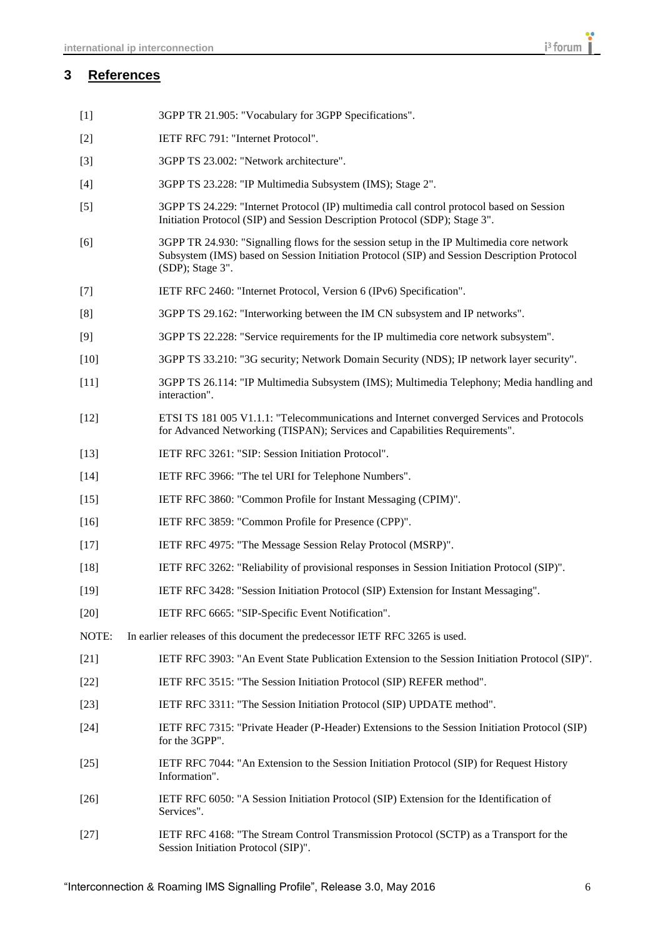#### <span id="page-5-0"></span>**3 References**

- [1] 3GPP TR 21.905: "Vocabulary for 3GPP Specifications".
- [2] IETF RFC 791: "Internet Protocol".
- [3] 3GPP TS 23.002: "Network architecture".
- [4] 3GPP TS 23.228: "IP Multimedia Subsystem (IMS); Stage 2".
- [5] 3GPP TS 24.229: "Internet Protocol (IP) multimedia call control protocol based on Session Initiation Protocol (SIP) and Session Description Protocol (SDP); Stage 3".
- [6] 3GPP TR 24.930: "Signalling flows for the session setup in the IP Multimedia core network Subsystem (IMS) based on Session Initiation Protocol (SIP) and Session Description Protocol (SDP); Stage 3".
- [7] IETF RFC 2460: "Internet Protocol, Version 6 (IPv6) Specification".
- [8] 3GPP TS 29.162: "Interworking between the IM CN subsystem and IP networks".
- [9] 3GPP TS 22.228: "Service requirements for the IP multimedia core network subsystem".
- [10] 3GPP TS 33.210: "3G security; Network Domain Security (NDS); IP network layer security".
- [11] 3GPP TS 26.114: "IP Multimedia Subsystem (IMS); Multimedia Telephony; Media handling and interaction".
- [12] ETSI TS 181 005 V1.1.1: "Telecommunications and Internet converged Services and Protocols for Advanced Networking (TISPAN); Services and Capabilities Requirements".
- [13] IETF RFC 3261: "SIP: Session Initiation Protocol".
- [14] IETF RFC 3966: "The tel URI for Telephone Numbers".
- [15] IETF RFC 3860: "Common Profile for Instant Messaging (CPIM)".
- [16] IETF RFC 3859: "Common Profile for Presence (CPP)".
- [17] IETF RFC 4975: "The Message Session Relay Protocol (MSRP)".
- [18] IETF RFC 3262: "Reliability of provisional responses in Session Initiation Protocol (SIP)".
- [19] IETF RFC 3428: "Session Initiation Protocol (SIP) Extension for Instant Messaging".
- [20] IETF RFC 6665: "SIP-Specific Event Notification".
- NOTE: In earlier releases of this document the predecessor IETF RFC 3265 is used.
- [21] IETF RFC 3903: "An Event State Publication Extension to the Session Initiation Protocol (SIP)".
- [22] IETF RFC 3515: "The Session Initiation Protocol (SIP) REFER method".
- [23] IETF RFC 3311: "The Session Initiation Protocol (SIP) UPDATE method".
- [24] IETF RFC 7315: "Private Header (P-Header) Extensions to the Session Initiation Protocol (SIP) for the 3GPP".
- [25] IETF RFC 7044: "An Extension to the Session Initiation Protocol (SIP) for Request History Information".
- [26] IETF RFC 6050: "A Session Initiation Protocol (SIP) Extension for the Identification of Services".
- [27] IETF RFC 4168: "The Stream Control Transmission Protocol (SCTP) as a Transport for the Session Initiation Protocol (SIP)".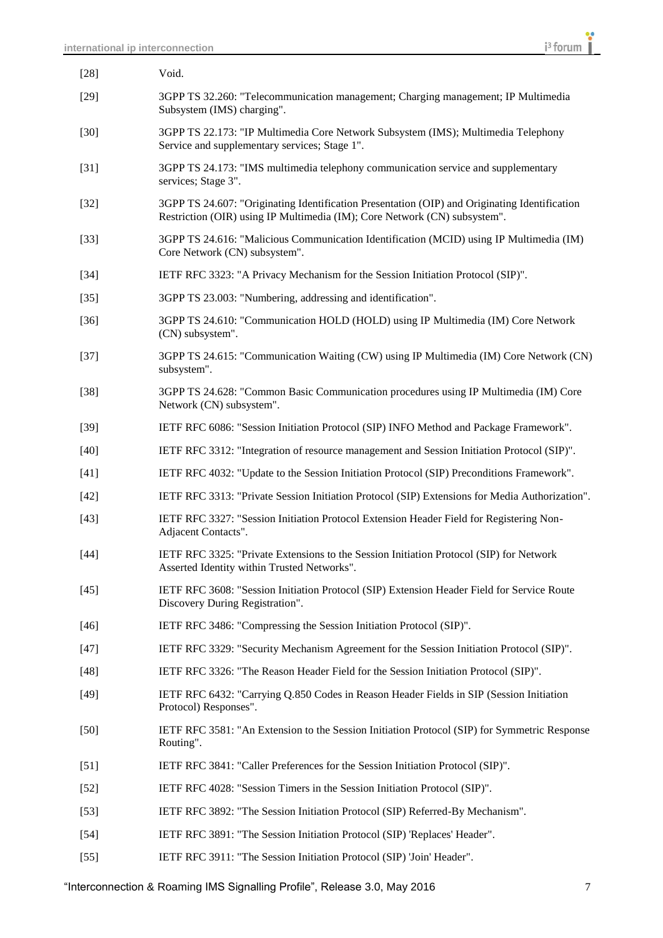| $[28]$ | Void.                                                                                                                                                                      |
|--------|----------------------------------------------------------------------------------------------------------------------------------------------------------------------------|
| $[29]$ | 3GPP TS 32.260: "Telecommunication management; Charging management; IP Multimedia<br>Subsystem (IMS) charging".                                                            |
| $[30]$ | 3GPP TS 22.173: "IP Multimedia Core Network Subsystem (IMS); Multimedia Telephony<br>Service and supplementary services; Stage 1".                                         |
| $[31]$ | 3GPP TS 24.173: "IMS multimedia telephony communication service and supplementary<br>services; Stage 3".                                                                   |
| $[32]$ | 3GPP TS 24.607: "Originating Identification Presentation (OIP) and Originating Identification<br>Restriction (OIR) using IP Multimedia (IM); Core Network (CN) subsystem". |
| $[33]$ | 3GPP TS 24.616: "Malicious Communication Identification (MCID) using IP Multimedia (IM)<br>Core Network (CN) subsystem".                                                   |
| $[34]$ | IETF RFC 3323: "A Privacy Mechanism for the Session Initiation Protocol (SIP)".                                                                                            |
| $[35]$ | 3GPP TS 23.003: "Numbering, addressing and identification".                                                                                                                |
| $[36]$ | 3GPP TS 24.610: "Communication HOLD (HOLD) using IP Multimedia (IM) Core Network<br>(CN) subsystem".                                                                       |
| $[37]$ | 3GPP TS 24.615: "Communication Waiting (CW) using IP Multimedia (IM) Core Network (CN)<br>subsystem".                                                                      |
| $[38]$ | 3GPP TS 24.628: "Common Basic Communication procedures using IP Multimedia (IM) Core<br>Network (CN) subsystem".                                                           |
| $[39]$ | IETF RFC 6086: "Session Initiation Protocol (SIP) INFO Method and Package Framework".                                                                                      |
| $[40]$ | IETF RFC 3312: "Integration of resource management and Session Initiation Protocol (SIP)".                                                                                 |
| $[41]$ | IETF RFC 4032: "Update to the Session Initiation Protocol (SIP) Preconditions Framework".                                                                                  |
| $[42]$ | IETF RFC 3313: "Private Session Initiation Protocol (SIP) Extensions for Media Authorization".                                                                             |
| $[43]$ | IETF RFC 3327: "Session Initiation Protocol Extension Header Field for Registering Non-<br>Adjacent Contacts".                                                             |
| $[44]$ | IETF RFC 3325: "Private Extensions to the Session Initiation Protocol (SIP) for Network<br>Asserted Identity within Trusted Networks"                                      |
| $[45]$ | IETF RFC 3608: "Session Initiation Protocol (SIP) Extension Header Field for Service Route<br>Discovery During Registration".                                              |
| $[46]$ | IETF RFC 3486: "Compressing the Session Initiation Protocol (SIP)".                                                                                                        |
| $[47]$ | IETF RFC 3329: "Security Mechanism Agreement for the Session Initiation Protocol (SIP)".                                                                                   |
| $[48]$ | IETF RFC 3326: "The Reason Header Field for the Session Initiation Protocol (SIP)".                                                                                        |
| $[49]$ | IETF RFC 6432: "Carrying Q.850 Codes in Reason Header Fields in SIP (Session Initiation<br>Protocol) Responses".                                                           |
| $[50]$ | IETF RFC 3581: "An Extension to the Session Initiation Protocol (SIP) for Symmetric Response<br>Routing".                                                                  |
| [51]   | IETF RFC 3841: "Caller Preferences for the Session Initiation Protocol (SIP)".                                                                                             |
| $[52]$ | IETF RFC 4028: "Session Timers in the Session Initiation Protocol (SIP)".                                                                                                  |
| $[53]$ | IETF RFC 3892: "The Session Initiation Protocol (SIP) Referred-By Mechanism".                                                                                              |
| $[54]$ | IETF RFC 3891: "The Session Initiation Protocol (SIP) 'Replaces' Header".                                                                                                  |
| $[55]$ | IETF RFC 3911: "The Session Initiation Protocol (SIP) 'Join' Header".                                                                                                      |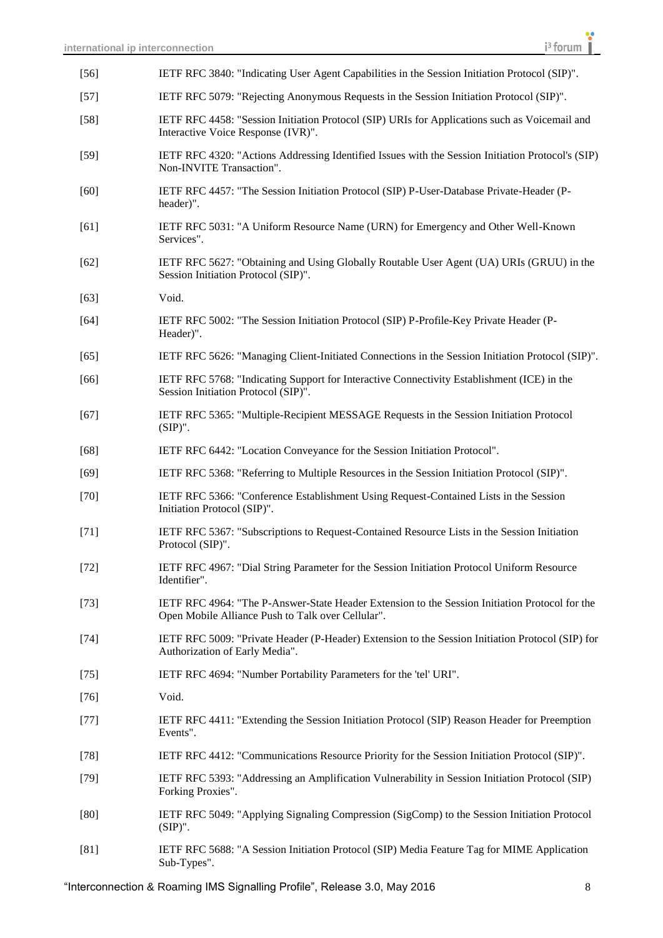| $[56]$ | IETF RFC 3840: "Indicating User Agent Capabilities in the Session Initiation Protocol (SIP)".                                                       |
|--------|-----------------------------------------------------------------------------------------------------------------------------------------------------|
| $[57]$ | IETF RFC 5079: "Rejecting Anonymous Requests in the Session Initiation Protocol (SIP)".                                                             |
| $[58]$ | IETF RFC 4458: "Session Initiation Protocol (SIP) URIs for Applications such as Voicemail and<br>Interactive Voice Response (IVR)".                 |
| $[59]$ | IETF RFC 4320: "Actions Addressing Identified Issues with the Session Initiation Protocol's (SIP)<br>Non-INVITE Transaction".                       |
| $[60]$ | IETF RFC 4457: "The Session Initiation Protocol (SIP) P-User-Database Private-Header (P-<br>header)".                                               |
| [61]   | IETF RFC 5031: "A Uniform Resource Name (URN) for Emergency and Other Well-Known<br>Services".                                                      |
| $[62]$ | IETF RFC 5627: "Obtaining and Using Globally Routable User Agent (UA) URIs (GRUU) in the<br>Session Initiation Protocol (SIP)".                     |
| $[63]$ | Void.                                                                                                                                               |
| $[64]$ | IETF RFC 5002: "The Session Initiation Protocol (SIP) P-Profile-Key Private Header (P-<br>Header)".                                                 |
| $[65]$ | IETF RFC 5626: "Managing Client-Initiated Connections in the Session Initiation Protocol (SIP)".                                                    |
| $[66]$ | IETF RFC 5768: "Indicating Support for Interactive Connectivity Establishment (ICE) in the<br>Session Initiation Protocol (SIP)".                   |
| $[67]$ | IETF RFC 5365: "Multiple-Recipient MESSAGE Requests in the Session Initiation Protocol<br>$(SIP)$ ".                                                |
| $[68]$ | IETF RFC 6442: "Location Conveyance for the Session Initiation Protocol".                                                                           |
| $[69]$ | IETF RFC 5368: "Referring to Multiple Resources in the Session Initiation Protocol (SIP)".                                                          |
| $[70]$ | IETF RFC 5366: "Conference Establishment Using Request-Contained Lists in the Session<br>Initiation Protocol (SIP)".                                |
| $[71]$ | IETF RFC 5367: "Subscriptions to Request-Contained Resource Lists in the Session Initiation<br>Protocol (SIP)".                                     |
| $[72]$ | IETF RFC 4967: "Dial String Parameter for the Session Initiation Protocol Uniform Resource<br>Identifier".                                          |
| $[73]$ | IETF RFC 4964: "The P-Answer-State Header Extension to the Session Initiation Protocol for the<br>Open Mobile Alliance Push to Talk over Cellular". |
| $[74]$ | IETF RFC 5009: "Private Header (P-Header) Extension to the Session Initiation Protocol (SIP) for<br>Authorization of Early Media".                  |
| $[75]$ | IETF RFC 4694: "Number Portability Parameters for the 'tel' URI".                                                                                   |
| $[76]$ | Void.                                                                                                                                               |
| $[77]$ | IETF RFC 4411: "Extending the Session Initiation Protocol (SIP) Reason Header for Preemption<br>Events".                                            |
| $[78]$ | IETF RFC 4412: "Communications Resource Priority for the Session Initiation Protocol (SIP)".                                                        |
| $[79]$ | IETF RFC 5393: "Addressing an Amplification Vulnerability in Session Initiation Protocol (SIP)<br>Forking Proxies".                                 |
| [80]   | IETF RFC 5049: "Applying Signaling Compression (SigComp) to the Session Initiation Protocol<br>$(SIP)$ ".                                           |
| [81]   | IETF RFC 5688: "A Session Initiation Protocol (SIP) Media Feature Tag for MIME Application<br>Sub-Types".                                           |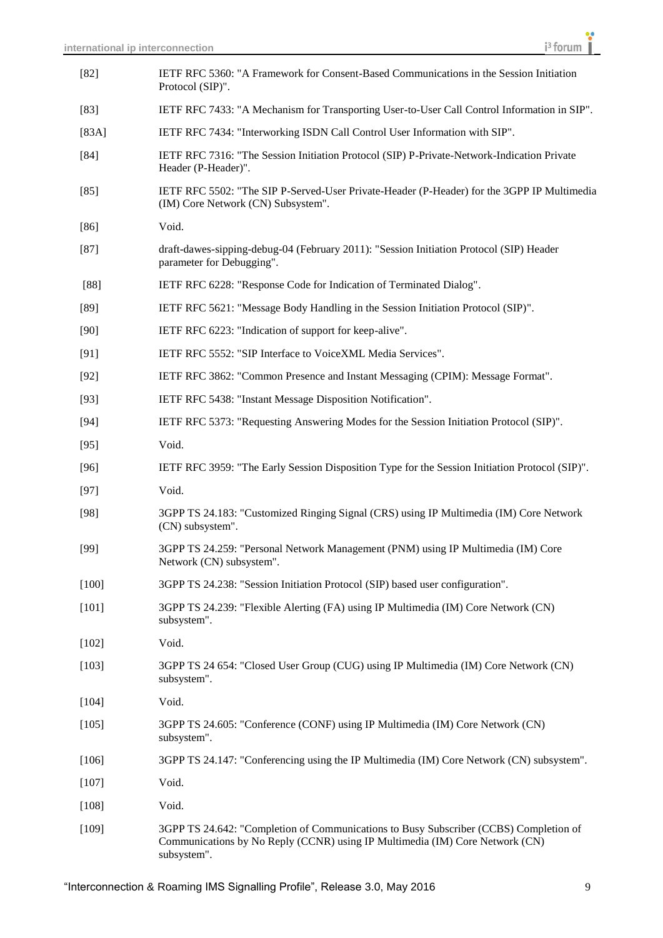| $[82]$  | IETF RFC 5360: "A Framework for Consent-Based Communications in the Session Initiation<br>Protocol (SIP)".                                                                           |
|---------|--------------------------------------------------------------------------------------------------------------------------------------------------------------------------------------|
| $[83]$  | IETF RFC 7433: "A Mechanism for Transporting User-to-User Call Control Information in SIP".                                                                                          |
| [83A]   | IETF RFC 7434: "Interworking ISDN Call Control User Information with SIP".                                                                                                           |
| $[84]$  | IETF RFC 7316: "The Session Initiation Protocol (SIP) P-Private-Network-Indication Private<br>Header (P-Header)".                                                                    |
| $[85]$  | IETF RFC 5502: "The SIP P-Served-User Private-Header (P-Header) for the 3GPP IP Multimedia<br>(IM) Core Network (CN) Subsystem".                                                     |
| $[86]$  | Void.                                                                                                                                                                                |
| $[87]$  | draft-dawes-sipping-debug-04 (February 2011): "Session Initiation Protocol (SIP) Header<br>parameter for Debugging".                                                                 |
| $[88]$  | IETF RFC 6228: "Response Code for Indication of Terminated Dialog".                                                                                                                  |
| $[89]$  | IETF RFC 5621: "Message Body Handling in the Session Initiation Protocol (SIP)".                                                                                                     |
| $[90]$  | IETF RFC 6223: "Indication of support for keep-alive".                                                                                                                               |
| $[91]$  | IETF RFC 5552: "SIP Interface to VoiceXML Media Services".                                                                                                                           |
| $[92]$  | IETF RFC 3862: "Common Presence and Instant Messaging (CPIM): Message Format".                                                                                                       |
| $[93]$  | IETF RFC 5438: "Instant Message Disposition Notification".                                                                                                                           |
| $[94]$  | IETF RFC 5373: "Requesting Answering Modes for the Session Initiation Protocol (SIP)".                                                                                               |
| $[95]$  | Void.                                                                                                                                                                                |
| $[96]$  | IETF RFC 3959: "The Early Session Disposition Type for the Session Initiation Protocol (SIP)".                                                                                       |
| $[97]$  | Void.                                                                                                                                                                                |
| $[98]$  | 3GPP TS 24.183: "Customized Ringing Signal (CRS) using IP Multimedia (IM) Core Network<br>(CN) subsystem".                                                                           |
| $[99]$  | 3GPP TS 24.259: "Personal Network Management (PNM) using IP Multimedia (IM) Core<br>Network (CN) subsystem".                                                                         |
| $[100]$ | 3GPP TS 24.238: "Session Initiation Protocol (SIP) based user configuration".                                                                                                        |
| [101]   | 3GPP TS 24.239: "Flexible Alerting (FA) using IP Multimedia (IM) Core Network (CN)<br>subsystem".                                                                                    |
| $[102]$ | Void.                                                                                                                                                                                |
| [103]   | 3GPP TS 24 654: "Closed User Group (CUG) using IP Multimedia (IM) Core Network (CN)<br>subsystem".                                                                                   |
| $[104]$ | Void.                                                                                                                                                                                |
| $[105]$ | 3GPP TS 24.605: "Conference (CONF) using IP Multimedia (IM) Core Network (CN)<br>subsystem".                                                                                         |
| $[106]$ | 3GPP TS 24.147: "Conferencing using the IP Multimedia (IM) Core Network (CN) subsystem".                                                                                             |
| $[107]$ | Void.                                                                                                                                                                                |
| $[108]$ | Void.                                                                                                                                                                                |
| $[109]$ | 3GPP TS 24.642: "Completion of Communications to Busy Subscriber (CCBS) Completion of<br>Communications by No Reply (CCNR) using IP Multimedia (IM) Core Network (CN)<br>subsystem". |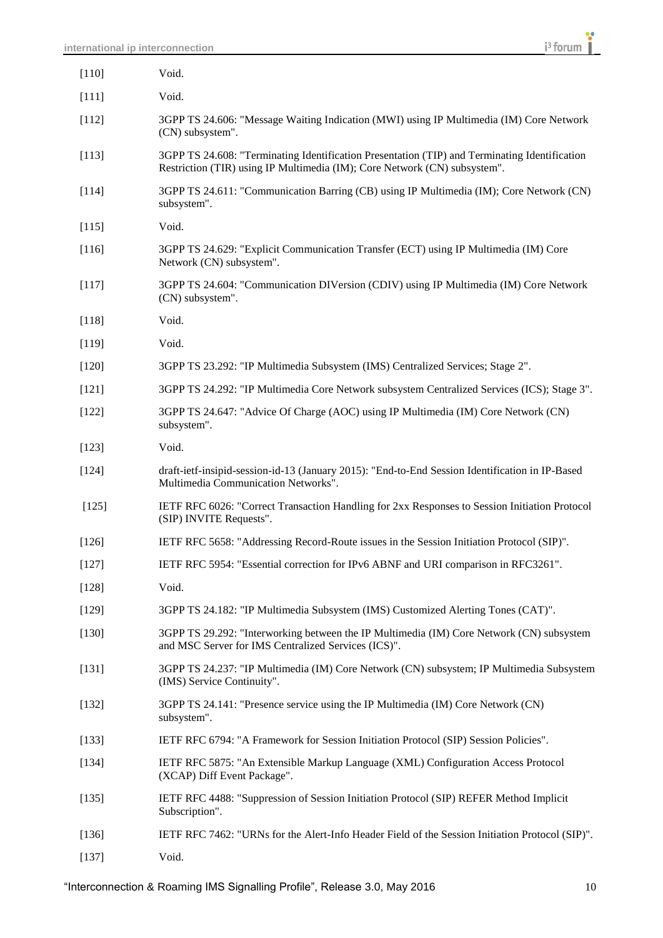| [110]   | Void.                                                                                                                                                                      |
|---------|----------------------------------------------------------------------------------------------------------------------------------------------------------------------------|
| $[111]$ | Void.                                                                                                                                                                      |
| $[112]$ | 3GPP TS 24.606: "Message Waiting Indication (MWI) using IP Multimedia (IM) Core Network<br>(CN) subsystem".                                                                |
| $[113]$ | 3GPP TS 24.608: "Terminating Identification Presentation (TIP) and Terminating Identification<br>Restriction (TIR) using IP Multimedia (IM); Core Network (CN) subsystem". |
| $[114]$ | 3GPP TS 24.611: "Communication Barring (CB) using IP Multimedia (IM); Core Network (CN)<br>subsystem".                                                                     |
| $[115]$ | Void.                                                                                                                                                                      |
| [116]   | 3GPP TS 24.629: "Explicit Communication Transfer (ECT) using IP Multimedia (IM) Core<br>Network (CN) subsystem".                                                           |
| $[117]$ | 3GPP TS 24.604: "Communication DIVersion (CDIV) using IP Multimedia (IM) Core Network<br>(CN) subsystem".                                                                  |
| $[118]$ | Void.                                                                                                                                                                      |
| $[119]$ | Void.                                                                                                                                                                      |
| $[120]$ | 3GPP TS 23.292: "IP Multimedia Subsystem (IMS) Centralized Services; Stage 2".                                                                                             |
| $[121]$ | 3GPP TS 24.292: "IP Multimedia Core Network subsystem Centralized Services (ICS); Stage 3".                                                                                |
| $[122]$ | 3GPP TS 24.647: "Advice Of Charge (AOC) using IP Multimedia (IM) Core Network (CN)<br>subsystem".                                                                          |
| [123]   | Void.                                                                                                                                                                      |
| $[124]$ | draft-ietf-insipid-session-id-13 (January 2015): "End-to-End Session Identification in IP-Based<br>Multimedia Communication Networks".                                     |
| $[125]$ | IETF RFC 6026: "Correct Transaction Handling for 2xx Responses to Session Initiation Protocol<br>(SIP) INVITE Requests".                                                   |
| $[126]$ | IETF RFC 5658: "Addressing Record-Route issues in the Session Initiation Protocol (SIP)".                                                                                  |
| $[127]$ | IETF RFC 5954: "Essential correction for IPv6 ABNF and URI comparison in RFC3261".                                                                                         |
| $[128]$ | Void.                                                                                                                                                                      |
| [129]   | 3GPP TS 24.182: "IP Multimedia Subsystem (IMS) Customized Alerting Tones (CAT)".                                                                                           |
| $[130]$ | 3GPP TS 29.292: "Interworking between the IP Multimedia (IM) Core Network (CN) subsystem<br>and MSC Server for IMS Centralized Services (ICS)".                            |
| $[131]$ | 3GPP TS 24.237: "IP Multimedia (IM) Core Network (CN) subsystem; IP Multimedia Subsystem<br>(IMS) Service Continuity".                                                     |
| $[132]$ | 3GPP TS 24.141: "Presence service using the IP Multimedia (IM) Core Network (CN)<br>subsystem".                                                                            |
| $[133]$ | IETF RFC 6794: "A Framework for Session Initiation Protocol (SIP) Session Policies".                                                                                       |
| [134]   | IETF RFC 5875: "An Extensible Markup Language (XML) Configuration Access Protocol<br>(XCAP) Diff Event Package".                                                           |
| $[135]$ | IETF RFC 4488: "Suppression of Session Initiation Protocol (SIP) REFER Method Implicit<br>Subscription".                                                                   |
| $[136]$ | IETF RFC 7462: "URNs for the Alert-Info Header Field of the Session Initiation Protocol (SIP)".                                                                            |
| [137]   | Void.                                                                                                                                                                      |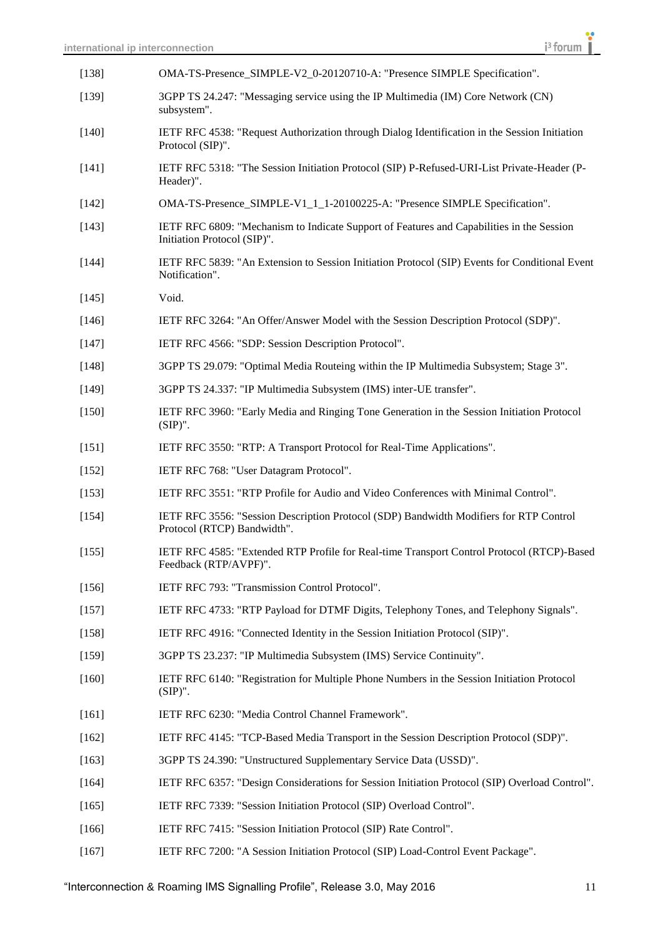| [138]   | OMA-TS-Presence_SIMPLE-V2_0-20120710-A: "Presence SIMPLE Specification".                                                 |
|---------|--------------------------------------------------------------------------------------------------------------------------|
| [139]   | 3GPP TS 24.247: "Messaging service using the IP Multimedia (IM) Core Network (CN)<br>subsystem".                         |
| $[140]$ | IETF RFC 4538: "Request Authorization through Dialog Identification in the Session Initiation<br>Protocol (SIP)".        |
| $[141]$ | IETF RFC 5318: "The Session Initiation Protocol (SIP) P-Refused-URI-List Private-Header (P-<br>Header)".                 |
| $[142]$ | OMA-TS-Presence_SIMPLE-V1_1_1-20100225-A: "Presence SIMPLE Specification".                                               |
| $[143]$ | IETF RFC 6809: "Mechanism to Indicate Support of Features and Capabilities in the Session<br>Initiation Protocol (SIP)". |
| $[144]$ | IETF RFC 5839: "An Extension to Session Initiation Protocol (SIP) Events for Conditional Event<br>Notification".         |
| $[145]$ | Void.                                                                                                                    |
| $[146]$ | IETF RFC 3264: "An Offer/Answer Model with the Session Description Protocol (SDP)".                                      |
| $[147]$ | IETF RFC 4566: "SDP: Session Description Protocol".                                                                      |
| $[148]$ | 3GPP TS 29.079: "Optimal Media Routeing within the IP Multimedia Subsystem; Stage 3".                                    |
| $[149]$ | 3GPP TS 24.337: "IP Multimedia Subsystem (IMS) inter-UE transfer".                                                       |
| $[150]$ | IETF RFC 3960: "Early Media and Ringing Tone Generation in the Session Initiation Protocol<br>$(SIP)$ ".                 |
| $[151]$ | IETF RFC 3550: "RTP: A Transport Protocol for Real-Time Applications".                                                   |
| $[152]$ | IETF RFC 768: "User Datagram Protocol".                                                                                  |
| $[153]$ | IETF RFC 3551: "RTP Profile for Audio and Video Conferences with Minimal Control".                                       |
| [154]   | IETF RFC 3556: "Session Description Protocol (SDP) Bandwidth Modifiers for RTP Control<br>Protocol (RTCP) Bandwidth".    |
| [155]   | IETF RFC 4585: "Extended RTP Profile for Real-time Transport Control Protocol (RTCP)-Based<br>Feedback (RTP/AVPF)".      |
| [156]   | IETF RFC 793: "Transmission Control Protocol".                                                                           |
| $[157]$ | IETF RFC 4733: "RTP Payload for DTMF Digits, Telephony Tones, and Telephony Signals".                                    |
| [158]   | IETF RFC 4916: "Connected Identity in the Session Initiation Protocol (SIP)".                                            |
| $[159]$ | 3GPP TS 23.237: "IP Multimedia Subsystem (IMS) Service Continuity".                                                      |
| $[160]$ | IETF RFC 6140: "Registration for Multiple Phone Numbers in the Session Initiation Protocol<br>$(SIP)$ ".                 |
| $[161]$ | IETF RFC 6230: "Media Control Channel Framework".                                                                        |
| $[162]$ | IETF RFC 4145: "TCP-Based Media Transport in the Session Description Protocol (SDP)".                                    |
| $[163]$ | 3GPP TS 24.390: "Unstructured Supplementary Service Data (USSD)".                                                        |
| $[164]$ | IETF RFC 6357: "Design Considerations for Session Initiation Protocol (SIP) Overload Control".                           |
| $[165]$ | IETF RFC 7339: "Session Initiation Protocol (SIP) Overload Control".                                                     |
| $[166]$ | IETF RFC 7415: "Session Initiation Protocol (SIP) Rate Control".                                                         |
| $[167]$ | IETF RFC 7200: "A Session Initiation Protocol (SIP) Load-Control Event Package".                                         |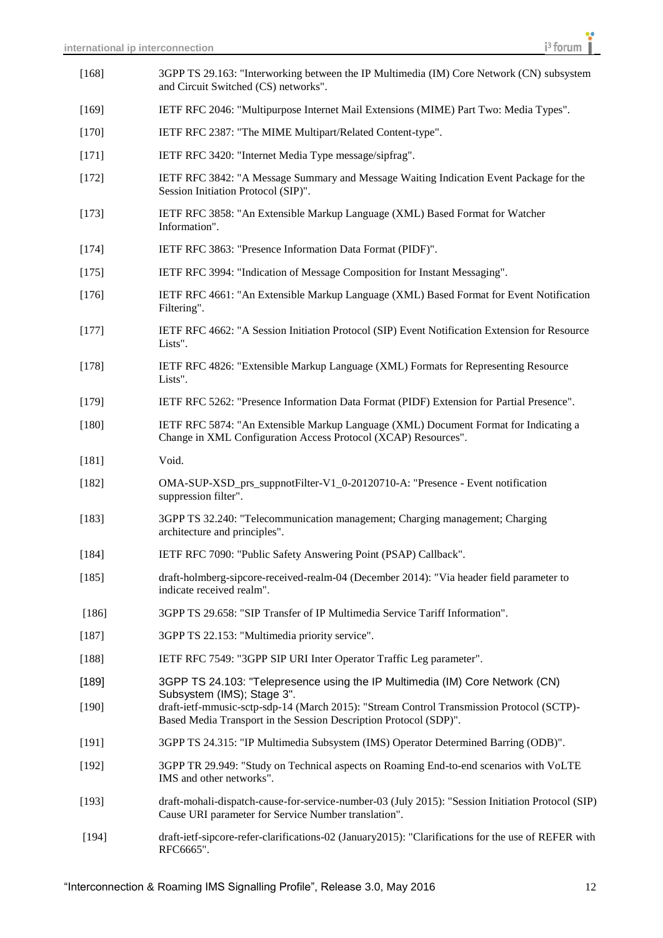| $[168]$ | 3GPP TS 29.163: "Interworking between the IP Multimedia (IM) Core Network (CN) subsystem<br>and Circuit Switched (CS) networks".                               |
|---------|----------------------------------------------------------------------------------------------------------------------------------------------------------------|
| $[169]$ | IETF RFC 2046: "Multipurpose Internet Mail Extensions (MIME) Part Two: Media Types".                                                                           |
| $[170]$ | IETF RFC 2387: "The MIME Multipart/Related Content-type".                                                                                                      |
| [171]   | IETF RFC 3420: "Internet Media Type message/sipfrag".                                                                                                          |
| [172]   | IETF RFC 3842: "A Message Summary and Message Waiting Indication Event Package for the<br>Session Initiation Protocol (SIP)".                                  |
| $[173]$ | IETF RFC 3858: "An Extensible Markup Language (XML) Based Format for Watcher<br>Information".                                                                  |
| [174]   | IETF RFC 3863: "Presence Information Data Format (PIDF)".                                                                                                      |
| $[175]$ | IETF RFC 3994: "Indication of Message Composition for Instant Messaging".                                                                                      |
| $[176]$ | IETF RFC 4661: "An Extensible Markup Language (XML) Based Format for Event Notification<br>Filtering".                                                         |
| $[177]$ | IETF RFC 4662: "A Session Initiation Protocol (SIP) Event Notification Extension for Resource<br>Lists".                                                       |
| $[178]$ | IETF RFC 4826: "Extensible Markup Language (XML) Formats for Representing Resource<br>Lists".                                                                  |
| $[179]$ | IETF RFC 5262: "Presence Information Data Format (PIDF) Extension for Partial Presence".                                                                       |
| $[180]$ | IETF RFC 5874: "An Extensible Markup Language (XML) Document Format for Indicating a<br>Change in XML Configuration Access Protocol (XCAP) Resources".         |
| $[181]$ | Void.                                                                                                                                                          |
| $[182]$ | OMA-SUP-XSD_prs_suppnotFilter-V1_0-20120710-A: "Presence - Event notification<br>suppression filter".                                                          |
| $[183]$ | 3GPP TS 32.240: "Telecommunication management; Charging management; Charging<br>architecture and principles".                                                  |
| $[184]$ | IETF RFC 7090: "Public Safety Answering Point (PSAP) Callback".                                                                                                |
| $[185]$ | draft-holmberg-sipcore-received-realm-04 (December 2014): "Via header field parameter to<br>indicate received realm".                                          |
| $[186]$ | 3GPP TS 29.658: "SIP Transfer of IP Multimedia Service Tariff Information".                                                                                    |
| $[187]$ | 3GPP TS 22.153: "Multimedia priority service".                                                                                                                 |
| $[188]$ | IETF RFC 7549: "3GPP SIP URI Inter Operator Traffic Leg parameter".                                                                                            |
| [189]   | 3GPP TS 24.103: "Telepresence using the IP Multimedia (IM) Core Network (CN)<br>Subsystem (IMS); Stage 3".                                                     |
| $[190]$ | draft-ietf-mmusic-sctp-sdp-14 (March 2015): "Stream Control Transmission Protocol (SCTP)-<br>Based Media Transport in the Session Description Protocol (SDP)". |
| $[191]$ | 3GPP TS 24.315: "IP Multimedia Subsystem (IMS) Operator Determined Barring (ODB)".                                                                             |
| [192]   | 3GPP TR 29.949: "Study on Technical aspects on Roaming End-to-end scenarios with VoLTE<br>IMS and other networks".                                             |
| [193]   | draft-mohali-dispatch-cause-for-service-number-03 (July 2015): "Session Initiation Protocol (SIP)<br>Cause URI parameter for Service Number translation".      |
| [194]   | draft-ietf-sipcore-refer-clarifications-02 (January2015): "Clarifications for the use of REFER with<br>RFC6665".                                               |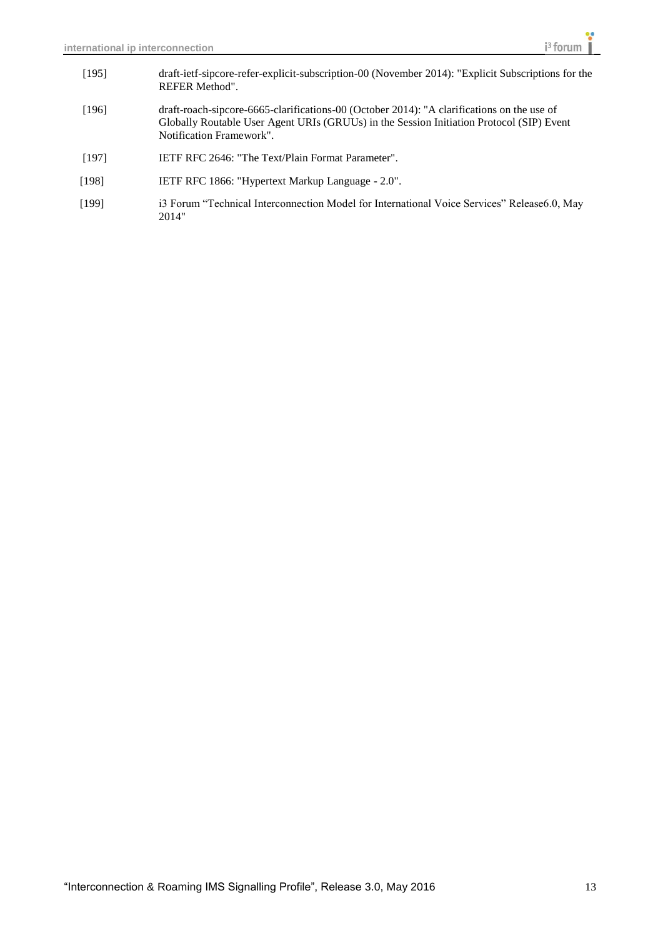- [195] draft-ietf-sipcore-refer-explicit-subscription-00 (November 2014): "Explicit Subscriptions for the REFER Method".
- [196] draft-roach-sipcore-6665-clarifications-00 (October 2014): "A clarifications on the use of Globally Routable User Agent URIs (GRUUs) in the Session Initiation Protocol (SIP) Event Notification Framework".
- [197] IETF RFC 2646: "The Text/Plain Format Parameter".
- [198] IETF RFC 1866: "Hypertext Markup Language 2.0".
- [199] i3 Forum "Technical Interconnection Model for International Voice Services" Release6.0, May 2014"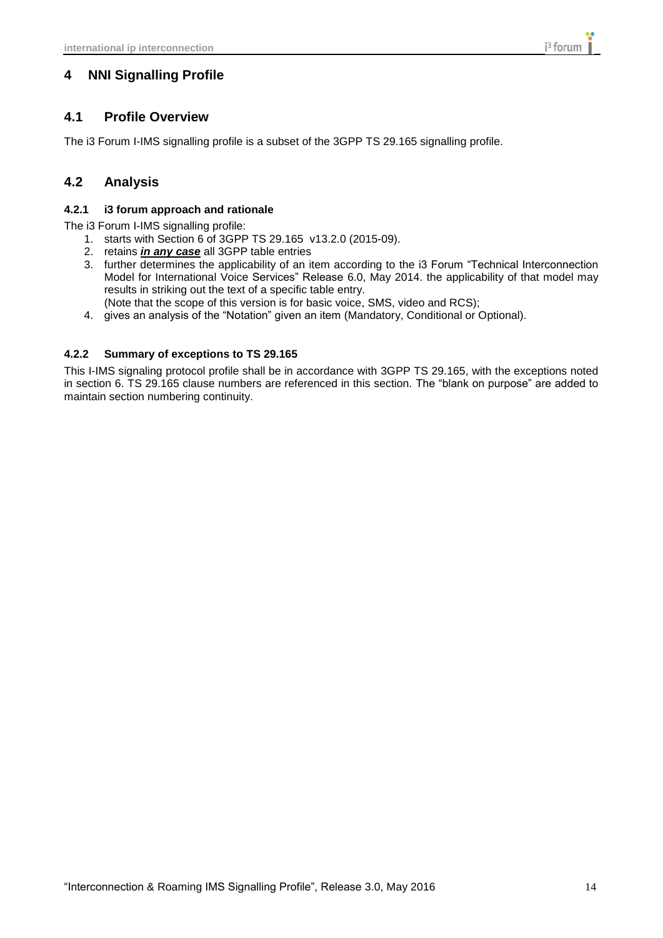## <span id="page-13-1"></span><span id="page-13-0"></span>**4 NNI Signalling Profile**

## **4.1 Profile Overview**

<span id="page-13-2"></span>The i3 Forum I-IMS signalling profile is a subset of the 3GPP TS 29.165 signalling profile.

### **4.2 Analysis**

#### <span id="page-13-3"></span>**4.2.1 i3 forum approach and rationale**

The i3 Forum I-IMS signalling profile:

- 1. starts with Section 6 of 3GPP TS 29.165 v13.2.0 (2015-09).
- 2. retains *in any case* all 3GPP table entries
- 3. further determines the applicability of an item according to the i3 Forum "Technical Interconnection Model for International Voice Services" Release 6.0, May 2014. the applicability of that model may results in striking out the text of a specific table entry.
	- (Note that the scope of this version is for basic voice, SMS, video and RCS);
- 4. gives an analysis of the "Notation" given an item (Mandatory, Conditional or Optional).

#### <span id="page-13-4"></span>**4.2.2 Summary of exceptions to TS 29.165**

This I-IMS signaling protocol profile shall be in accordance with 3GPP TS 29.165, with the exceptions noted in section 6. TS 29.165 clause numbers are referenced in this section. The "blank on purpose" are added to maintain section numbering continuity.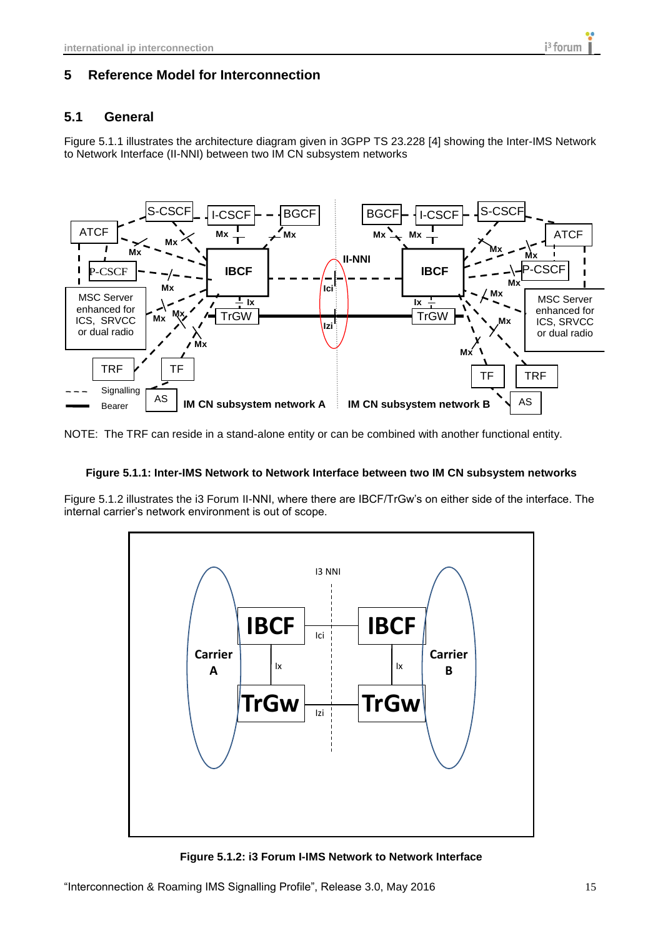### <span id="page-14-1"></span><span id="page-14-0"></span>**5 Reference Model for Interconnection**

### **5.1 General**

Figure 5.1.1 illustrates the architecture diagram given in 3GPP TS 23.228 [4] showing the Inter-IMS Network to Network Interface (II-NNI) between two IM CN subsystem networks



NOTE: The TRF can reside in a stand-alone entity or can be combined with another functional entity.

#### **Figure 5.1.1: Inter-IMS Network to Network Interface between two IM CN subsystem networks**

Figure 5.1.2 illustrates the i3 Forum II-NNI, where there are IBCF/TrGw's on either side of the interface. The internal carrier's network environment is out of scope.



**Figure 5.1.2: i3 Forum I-IMS Network to Network Interface**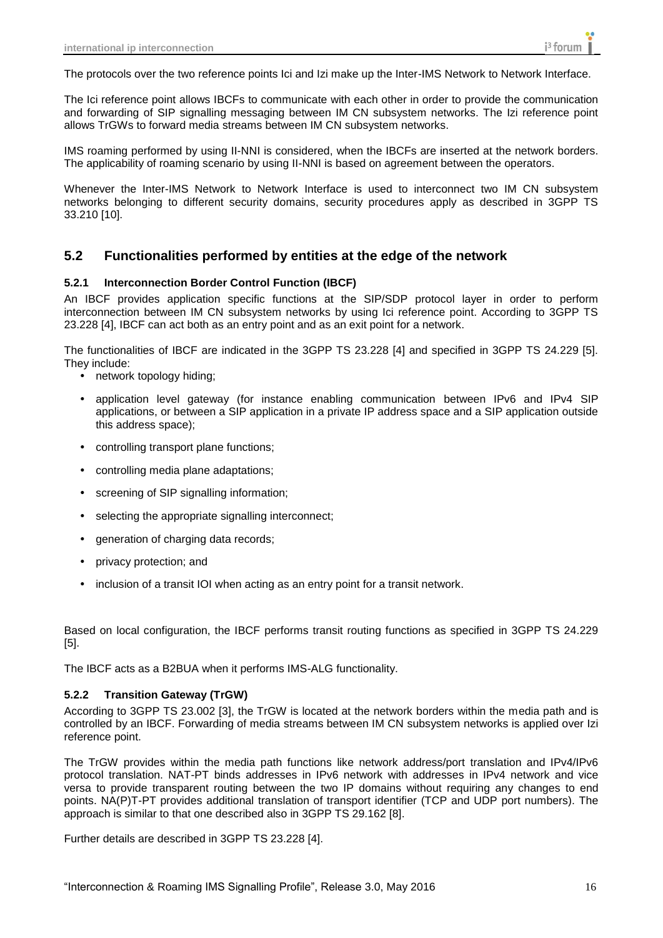The protocols over the two reference points Ici and Izi make up the Inter-IMS Network to Network Interface.

The Ici reference point allows IBCFs to communicate with each other in order to provide the communication and forwarding of SIP signalling messaging between IM CN subsystem networks. The Izi reference point allows TrGWs to forward media streams between IM CN subsystem networks.

IMS roaming performed by using II-NNI is considered, when the IBCFs are inserted at the network borders. The applicability of roaming scenario by using II-NNI is based on agreement between the operators.

Whenever the Inter-IMS Network to Network Interface is used to interconnect two IM CN subsystem networks belonging to different security domains, security procedures apply as described in 3GPP TS 33.210 [10].

#### <span id="page-15-0"></span>**5.2 Functionalities performed by entities at the edge of the network**

#### <span id="page-15-1"></span>**5.2.1 Interconnection Border Control Function (IBCF)**

An IBCF provides application specific functions at the SIP/SDP protocol layer in order to perform interconnection between IM CN subsystem networks by using Ici reference point. According to 3GPP TS 23.228 [4], IBCF can act both as an entry point and as an exit point for a network.

The functionalities of IBCF are indicated in the 3GPP TS 23.228 [4] and specified in 3GPP TS 24.229 [5]. They include:

- network topology hiding;
- application level gateway (for instance enabling communication between IPv6 and IPv4 SIP applications, or between a SIP application in a private IP address space and a SIP application outside this address space);
- controlling transport plane functions;
- controlling media plane adaptations;
- screening of SIP signalling information;
- selecting the appropriate signalling interconnect;
- generation of charging data records;
- privacy protection; and
- inclusion of a transit IOI when acting as an entry point for a transit network.

Based on local configuration, the IBCF performs transit routing functions as specified in 3GPP TS 24.229 [5].

<span id="page-15-2"></span>The IBCF acts as a B2BUA when it performs IMS-ALG functionality.

#### **5.2.2 Transition Gateway (TrGW)**

According to 3GPP TS 23.002 [3], the TrGW is located at the network borders within the media path and is controlled by an IBCF. Forwarding of media streams between IM CN subsystem networks is applied over Izi reference point.

The TrGW provides within the media path functions like network address/port translation and IPv4/IPv6 protocol translation. NAT-PT binds addresses in IPv6 network with addresses in IPv4 network and vice versa to provide transparent routing between the two IP domains without requiring any changes to end points. NA(P)T-PT provides additional translation of transport identifier (TCP and UDP port numbers). The approach is similar to that one described also in 3GPP TS 29.162 [8].

Further details are described in 3GPP TS 23.228 [4].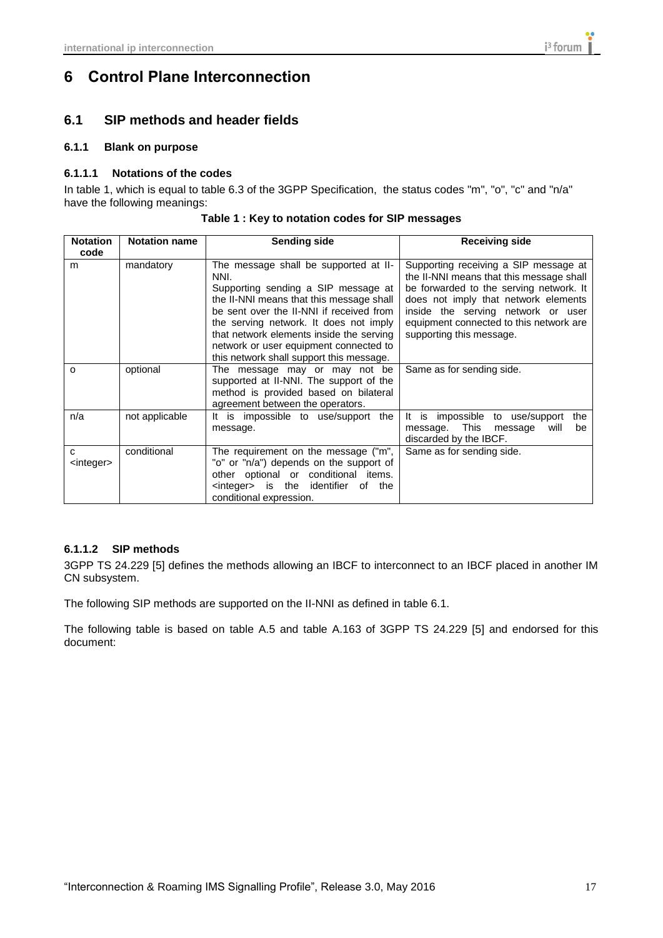## <span id="page-16-0"></span>**6 Control Plane Interconnection**

## <span id="page-16-1"></span>**6.1 SIP methods and header fields**

#### <span id="page-16-2"></span>**6.1.1 Blank on purpose**

#### <span id="page-16-3"></span>**6.1.1.1 Notations of the codes**

In table 1, which is equal to table 6.3 of the 3GPP Specification, the status codes "m", "o", "c" and "n/a" have the following meanings:

| <b>Notation</b><br>code  | <b>Notation name</b> | <b>Sending side</b>                                                                                                                                                                                                                                                                                                                                      | <b>Receiving side</b>                                                                                                                                                                                                                                                             |
|--------------------------|----------------------|----------------------------------------------------------------------------------------------------------------------------------------------------------------------------------------------------------------------------------------------------------------------------------------------------------------------------------------------------------|-----------------------------------------------------------------------------------------------------------------------------------------------------------------------------------------------------------------------------------------------------------------------------------|
| m                        | mandatory            | The message shall be supported at II-<br>NNI.<br>Supporting sending a SIP message at<br>the II-NNI means that this message shall<br>be sent over the II-NNI if received from<br>the serving network. It does not imply<br>that network elements inside the serving<br>network or user equipment connected to<br>this network shall support this message. | Supporting receiving a SIP message at<br>the II-NNI means that this message shall<br>be forwarded to the serving network. It<br>does not imply that network elements<br>inside the serving network or user<br>equipment connected to this network are<br>supporting this message. |
| O                        | optional             | The message may or may not be<br>supported at II-NNI. The support of the<br>method is provided based on bilateral<br>agreement between the operators.                                                                                                                                                                                                    | Same as for sending side.                                                                                                                                                                                                                                                         |
| n/a                      | not applicable       | It is impossible to use/support<br>the<br>message.                                                                                                                                                                                                                                                                                                       | impossible<br>to use/support<br>It is<br>the<br>This<br>message.<br>message<br>will<br>be<br>discarded by the IBCF.                                                                                                                                                               |
| C<br><integer></integer> | conditional          | The requirement on the message ("m",<br>"o" or "n/a") depends on the support of<br>other optional or conditional items.<br><integer> is the identifier<br/>of<br/>the<br/>conditional expression.</integer>                                                                                                                                              | Same as for sending side.                                                                                                                                                                                                                                                         |

**Table 1 : Key to notation codes for SIP messages**

### <span id="page-16-4"></span>**6.1.1.2 SIP methods**

3GPP TS 24.229 [5] defines the methods allowing an IBCF to interconnect to an IBCF placed in another IM CN subsystem.

The following SIP methods are supported on the II-NNI as defined in table 6.1.

The following table is based on table A.5 and table A.163 of 3GPP TS 24.229 [5] and endorsed for this document: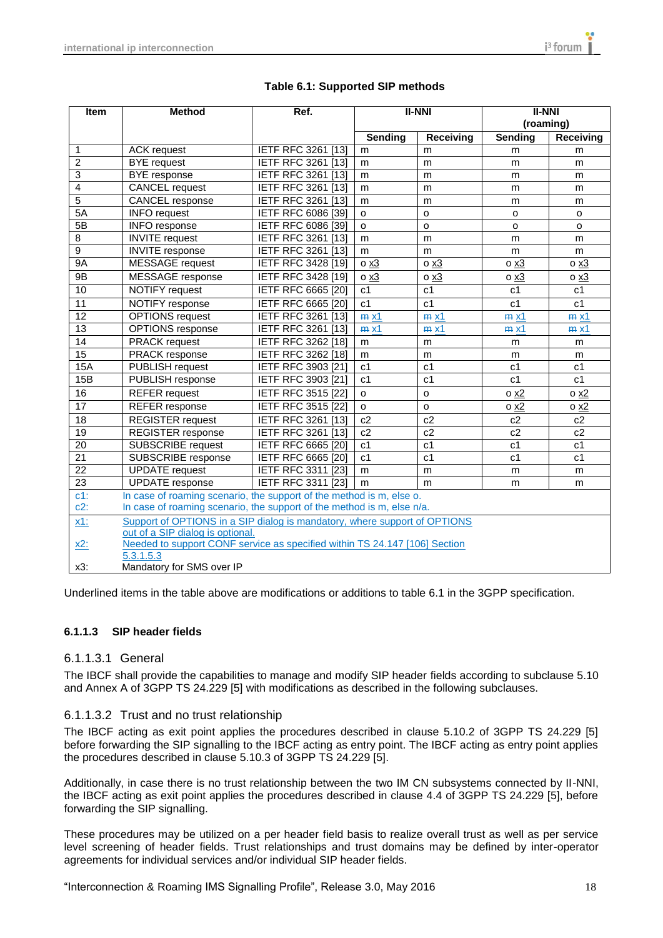| Item                                                                                                                        | <b>Method</b>                                                                           | Ref.                      | <b>II-NNI</b>  |                | <b>II-NNI</b><br>(roaming) |                  |
|-----------------------------------------------------------------------------------------------------------------------------|-----------------------------------------------------------------------------------------|---------------------------|----------------|----------------|----------------------------|------------------|
|                                                                                                                             |                                                                                         |                           |                |                |                            |                  |
|                                                                                                                             |                                                                                         |                           | Sending        | Receiving      | <b>Sending</b>             | <b>Receiving</b> |
| 1                                                                                                                           | <b>ACK request</b>                                                                      | IETF RFC 3261 [13]        | m              | m              | m                          | m                |
| $\overline{2}$                                                                                                              | <b>BYE</b> request                                                                      | <b>IETF RFC 3261 [13]</b> | m              | m              | m                          | m                |
| 3                                                                                                                           | <b>BYE</b> response                                                                     | <b>IETF RFC 3261 [13]</b> | m              | m              | m                          | m                |
| 4                                                                                                                           | <b>CANCEL</b> request                                                                   | <b>IETF RFC 3261 [13]</b> | m              | m              | m                          | m                |
| $\overline{5}$                                                                                                              | CANCEL response                                                                         | IETF RFC 3261 [13]        | m              | m              | m                          | m                |
| 5A                                                                                                                          | <b>INFO</b> request                                                                     | IETF RFC 6086 [39]        | o              | $\Omega$       | o                          | $\circ$          |
| 5B                                                                                                                          | <b>INFO</b> response                                                                    | <b>IETF RFC 6086 [39]</b> | o              | $\circ$        | o                          | o                |
| 8                                                                                                                           | <b>INVITE</b> request                                                                   | IETF RFC 3261 [13]        | m              | m              | m                          | m                |
| $\overline{9}$                                                                                                              | <b>INVITE</b> response                                                                  | IETF RFC 3261 [13]        | m              | m              | m                          | m                |
| <b>9A</b>                                                                                                                   | MESSAGE request                                                                         | <b>IETF RFC 3428 [19]</b> | o <u>x3</u>    | $0 \times 3$   | $0 \times 3$               | $0 \times 3$     |
| 9B                                                                                                                          | MESSAGE response                                                                        | <b>IETF RFC 3428 [19]</b> | o x3           | $0 \times 3$   | o <u>x3</u>                | $0 \times 3$     |
| 10                                                                                                                          | NOTIFY request                                                                          | <b>IETF RFC 6665 [20]</b> | c1             | c1             | c <sub>1</sub>             | c <sub>1</sub>   |
| 11                                                                                                                          | NOTIFY response                                                                         | <b>IETF RFC 6665 [20]</b> | c1             | c <sub>1</sub> | c1                         | c <sub>1</sub>   |
| 12                                                                                                                          | <b>OPTIONS</b> request                                                                  | <b>IETF RFC 3261 [13]</b> | $m \times 1$   | $m \times 1$   | $m \times 1$               | $m \times 1$     |
| $\overline{13}$                                                                                                             | <b>OPTIONS</b> response                                                                 | <b>IETF RFC 3261 [13]</b> | $m \times 1$   | $m \times 1$   | $m \times 1$               | $m \times 1$     |
| 14                                                                                                                          | <b>PRACK</b> request                                                                    | IETF RFC 3262 [18]        | m              | m              | m                          | m                |
| $\overline{15}$                                                                                                             | PRACK response                                                                          | IETF RFC 3262 [18]        | m              | m              | m                          | m                |
| <b>15A</b>                                                                                                                  | PUBLISH request                                                                         | IETF RFC 3903 [21]        | c1             | c <sub>1</sub> | c <sub>1</sub>             | c <sub>1</sub>   |
| 15B                                                                                                                         | PUBLISH response                                                                        | IETF RFC 3903 [21]        | c <sub>1</sub> | c <sub>1</sub> | c <sub>1</sub>             | c <sub>1</sub>   |
| 16                                                                                                                          | <b>REFER</b> request                                                                    | <b>IETF RFC 3515 [22]</b> | $\Omega$       | $\Omega$       | 0 x2                       | 0 x2             |
| 17                                                                                                                          | REFER response                                                                          | IETF RFC 3515 [22]        | o              | $\circ$        | $0 \times 2$               | 0 <sub>x2</sub>  |
| 18                                                                                                                          | <b>REGISTER request</b>                                                                 | IETF RFC 3261 [13]        | c2             | c2             | c2                         | c2               |
| 19                                                                                                                          | <b>REGISTER</b> response                                                                | <b>IETF RFC 3261 [13]</b> | c2             | c2             | c2                         | c2               |
| 20                                                                                                                          | <b>SUBSCRIBE</b> request                                                                | <b>IETF RFC 6665 [20]</b> | c1             | c <sub>1</sub> | c1                         | c <sub>1</sub>   |
| $\overline{21}$                                                                                                             | <b>SUBSCRIBE</b> response                                                               | <b>IETF RFC 6665 [20]</b> | c1             | c <sub>1</sub> | c <sub>1</sub>             | c <sub>1</sub>   |
| $\overline{22}$                                                                                                             | <b>UPDATE</b> request                                                                   | IETF RFC 3311 [23]        | m              | m              | m                          | m                |
| $\overline{23}$                                                                                                             | <b>UPDATE</b> response                                                                  | IETF RFC 3311 [23]        | m              | m              | m                          | m                |
| $c1$ :<br>In case of roaming scenario, the support of the method is m, else o.                                              |                                                                                         |                           |                |                |                            |                  |
|                                                                                                                             | $c2$ :<br>In case of roaming scenario, the support of the method is m, else n/a.        |                           |                |                |                            |                  |
| Support of OPTIONS in a SIP dialog is mandatory, where support of OPTIONS<br><u>x1:</u><br>out of a SIP dialog is optional. |                                                                                         |                           |                |                |                            |                  |
| <u>x2:</u>                                                                                                                  | Needed to support CONF service as specified within TS 24.147 [106] Section<br>5.3.1.5.3 |                           |                |                |                            |                  |
| x3:                                                                                                                         | Mandatory for SMS over IP                                                               |                           |                |                |                            |                  |

#### **Table 6.1: Supported SIP methods**

Underlined items in the table above are modifications or additions to table 6.1 in the 3GPP specification.

#### <span id="page-17-0"></span>**6.1.1.3 SIP header fields**

#### <span id="page-17-1"></span>6.1.1.3.1 General

The IBCF shall provide the capabilities to manage and modify SIP header fields according to subclause 5.10 and Annex A of 3GPP TS 24.229 [5] with modifications as described in the following subclauses.

#### <span id="page-17-2"></span>6.1.1.3.2 Trust and no trust relationship

The IBCF acting as exit point applies the procedures described in clause 5.10.2 of 3GPP TS 24.229 [5] before forwarding the SIP signalling to the IBCF acting as entry point. The IBCF acting as entry point applies the procedures described in clause 5.10.3 of 3GPP TS 24.229 [5].

Additionally, in case there is no trust relationship between the two IM CN subsystems connected by II-NNI, the IBCF acting as exit point applies the procedures described in clause 4.4 of 3GPP TS 24.229 [5], before forwarding the SIP signalling.

These procedures may be utilized on a per header field basis to realize overall trust as well as per service level screening of header fields. Trust relationships and trust domains may be defined by inter-operator agreements for individual services and/or individual SIP header fields.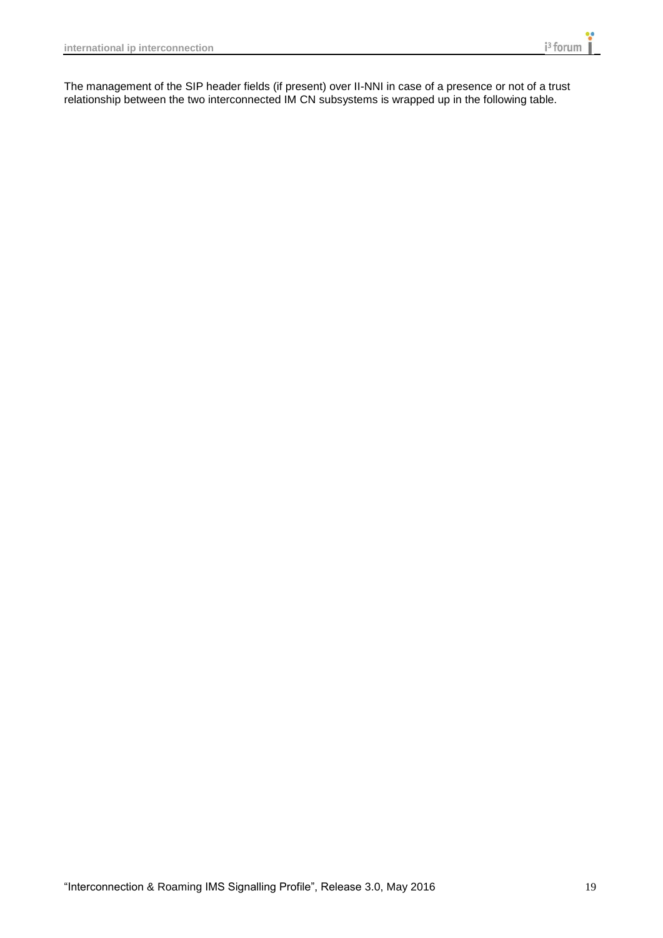The management of the SIP header fields (if present) over II-NNI in case of a presence or not of a trust relationship between the two interconnected IM CN subsystems is wrapped up in the following table.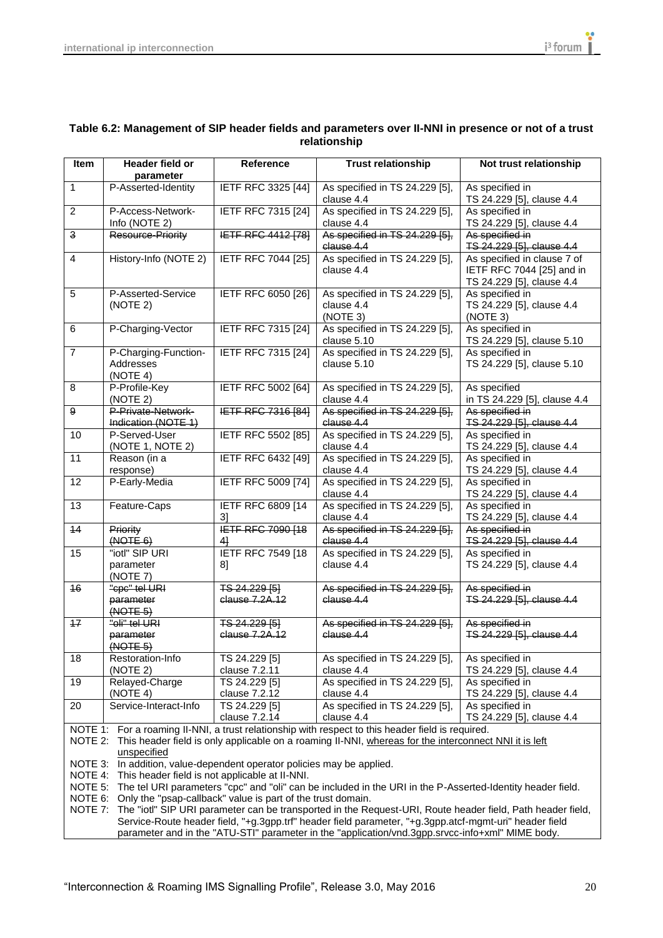$\overline{\phantom{a}}$ 

| Table 6.2: Management of SIP header fields and parameters over II-NNI in presence or not of a trust<br>relationship |                              |           |                           |                        |  |
|---------------------------------------------------------------------------------------------------------------------|------------------------------|-----------|---------------------------|------------------------|--|
| <b>Item</b>                                                                                                         | Header field or<br>parameter | Reference | <b>Trust relationship</b> | Not trust relationship |  |
|                                                                                                                     |                              |           |                           |                        |  |

|                                                                                                                                                                                                                                                                                                                                                                          | parameter                                                           |                                 |                                                                                                                    |                                                                                       |  |
|--------------------------------------------------------------------------------------------------------------------------------------------------------------------------------------------------------------------------------------------------------------------------------------------------------------------------------------------------------------------------|---------------------------------------------------------------------|---------------------------------|--------------------------------------------------------------------------------------------------------------------|---------------------------------------------------------------------------------------|--|
| $\mathbf{1}$                                                                                                                                                                                                                                                                                                                                                             | P-Asserted-Identity                                                 | IETF RFC 3325 [44]              | As specified in TS 24.229 [5],<br>clause 4.4                                                                       | As specified in<br>TS 24.229 [5], clause 4.4                                          |  |
| 2                                                                                                                                                                                                                                                                                                                                                                        | P-Access-Network-<br>Info (NOTE 2)                                  | <b>IETF RFC 7315 [24]</b>       | As specified in TS 24.229 [5],<br>clause 4.4                                                                       | As specified in<br>TS 24.229 [5], clause 4.4                                          |  |
| 3                                                                                                                                                                                                                                                                                                                                                                        | Resource-Priority                                                   | <b>IETF RFC 4412 [78]</b>       | As specified in TS 24.229 [5],<br>clause 4.4                                                                       | As specified in<br>TS 24.229 [5], clause 4.4                                          |  |
| $\overline{4}$                                                                                                                                                                                                                                                                                                                                                           | History-Info (NOTE 2)                                               | IETF RFC 7044 [25]              | As specified in TS 24.229 [5],<br>clause 4.4                                                                       | As specified in clause 7 of<br>IETF RFC 7044 [25] and in<br>TS 24.229 [5], clause 4.4 |  |
| 5                                                                                                                                                                                                                                                                                                                                                                        | P-Asserted-Service<br>(NOTE 2)                                      | <b>IETF RFC 6050 [26]</b>       | As specified in TS 24.229 [5],<br>clause 4.4<br>(NOTE 3)                                                           | As specified in<br>TS 24.229 [5], clause 4.4<br>(NOTE 3)                              |  |
| 6                                                                                                                                                                                                                                                                                                                                                                        | P-Charging-Vector                                                   | IETF RFC 7315 [24]              | As specified in TS 24.229 [5],<br>clause 5.10                                                                      | As specified in<br>TS 24.229 [5], clause 5.10                                         |  |
| $\overline{7}$                                                                                                                                                                                                                                                                                                                                                           | P-Charging-Function-<br>Addresses<br>(NOTE 4)                       | IETF RFC 7315 [24]              | As specified in TS 24.229 [5],<br>clause 5.10                                                                      | As specified in<br>TS 24.229 [5], clause 5.10                                         |  |
| 8                                                                                                                                                                                                                                                                                                                                                                        | P-Profile-Key<br>(NOTE 2)                                           | <b>IETF RFC 5002 [64]</b>       | As specified in TS 24.229 [5],<br>clause 4.4                                                                       | As specified<br>in TS 24.229 [5], clause 4.4                                          |  |
| 9                                                                                                                                                                                                                                                                                                                                                                        | P-Private-Network-<br>Indication (NOTE 1)                           | <b>IETF RFC 7316 [84]</b>       | As specified in TS 24.229 [5],<br>clause 4.4                                                                       | As specified in<br>TS 24.229 [5], clause 4.4                                          |  |
| 10                                                                                                                                                                                                                                                                                                                                                                       | P-Served-User<br>(NOTE 1, NOTE 2)                                   | <b>IETF RFC 5502 [85]</b>       | As specified in TS 24.229 [5],<br>clause 4.4                                                                       | As specified in<br>TS 24.229 [5], clause 4.4                                          |  |
| 11                                                                                                                                                                                                                                                                                                                                                                       | Reason (in a<br>response)                                           | <b>IETF RFC 6432 [49]</b>       | As specified in TS 24.229 [5],<br>clause 4.4                                                                       | As specified in<br>TS 24.229 [5], clause 4.4                                          |  |
| 12                                                                                                                                                                                                                                                                                                                                                                       | P-Early-Media                                                       | IETF RFC 5009 [74]              | As specified in TS 24.229 [5],<br>clause 4.4                                                                       | As specified in<br>TS 24.229 [5], clause 4.4                                          |  |
| 13                                                                                                                                                                                                                                                                                                                                                                       | Feature-Caps                                                        | <b>IETF RFC 6809 [14</b><br>31  | As specified in TS 24.229 [5],<br>clause 4.4                                                                       | As specified in<br>TS 24.229 [5], clause 4.4                                          |  |
| 14                                                                                                                                                                                                                                                                                                                                                                       | Priority<br>(HOTE 6)                                                | <b>IETF RFC 7090 [18</b><br>41  | As specified in TS 24.229 [5],<br>clause 4.4                                                                       | As specified in<br>TS 24.229 [5], clause 4.4                                          |  |
| 15                                                                                                                                                                                                                                                                                                                                                                       | "iotl" SIP URI<br>parameter<br>(NOTE 7)                             | IETF RFC 7549 [18<br>8]         | As specified in TS 24.229 [5],<br>clause 4.4                                                                       | As specified in<br>TS 24.229 [5], clause 4.4                                          |  |
| 16                                                                                                                                                                                                                                                                                                                                                                       | "cpc" tel URI<br>parameter<br>$(MOTE-5)$                            | TS 24.229 [5]<br>clause 7.2A.12 | As specified in TS 24.229 [5],<br>clause 4.4                                                                       | As specified in<br>TS 24.229 [5], clause 4.4                                          |  |
| 17                                                                                                                                                                                                                                                                                                                                                                       | "oli" tel URI<br>parameter<br>$(MOTE-5)$                            | TS 24.229 [5]<br>elause 7.2A.12 | As specified in TS 24.229 [5],<br>clause 4.4                                                                       | As specified in<br>TS 24.229 [5], clause 4.4                                          |  |
| 18                                                                                                                                                                                                                                                                                                                                                                       | Restoration-Info<br>(NOTE 2)                                        | TS 24.229 [5]<br>clause 7.2.11  | As specified in TS 24.229 [5],<br>clause 4.4                                                                       | As specified in<br>TS 24.229 [5], clause 4.4                                          |  |
| 19                                                                                                                                                                                                                                                                                                                                                                       | Relayed-Charge<br>(NOTE 4)                                          | TS 24.229 [5]<br>clause 7.2.12  | As specified in TS 24.229 [5],<br>clause 4.4                                                                       | As specified in<br>TS 24.229 [5], clause 4.4                                          |  |
| 20                                                                                                                                                                                                                                                                                                                                                                       | Service-Interact-Info                                               | TS 24.229 [5]<br>clause 7.2.14  | As specified in TS 24.229 [5],<br>clause 4.4                                                                       | As specified in<br>TS 24.229 [5], clause 4.4                                          |  |
| NOTE 1: For a roaming II-NNI, a trust relationship with respect to this header field is required.<br>NOTE 2: This header field is only applicable on a roaming II-NNI, whereas for the interconnect NNI it is left<br>unspecified<br>In addition, value-dependent operator policies may be applied.<br>NOTE 3:<br>NOTE 4: This header field is not applicable at II-NNI. |                                                                     |                                 |                                                                                                                    |                                                                                       |  |
|                                                                                                                                                                                                                                                                                                                                                                          | NOTE 6: Only the "psap-callback" value is part of the trust domain. |                                 | NOTE 5: The tel URI parameters "cpc" and "oli" can be included in the URI in the P-Asserted-Identity header field. |                                                                                       |  |
| NOTE 7: The "iotl" SIP URI parameter can be transported in the Request-URI, Route header field, Path header field,                                                                                                                                                                                                                                                       |                                                                     |                                 |                                                                                                                    |                                                                                       |  |

Service-Route header field, "+g.3gpp.trf" header field parameter, "+g.3gpp.atcf-mgmt-uri" header field parameter and in the "ATU-STI" parameter in the "application/vnd.3gpp.srvcc-info+xml" MIME body.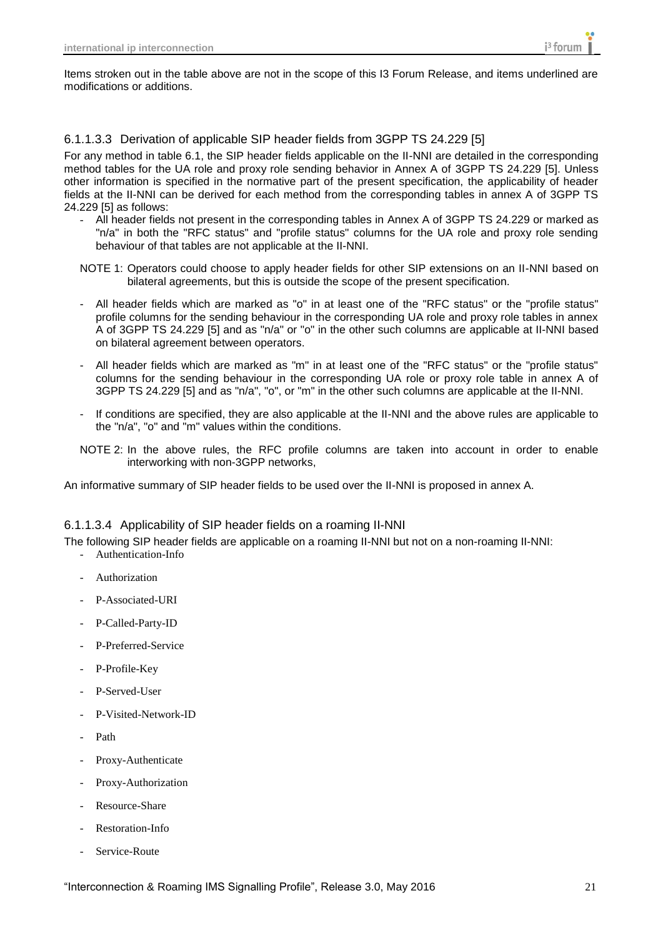Items stroken out in the table above are not in the scope of this I3 Forum Release, and items underlined are modifications or additions.

#### <span id="page-20-0"></span>6.1.1.3.3 Derivation of applicable SIP header fields from 3GPP TS 24.229 [5]

For any method in table 6.1, the SIP header fields applicable on the II-NNI are detailed in the corresponding method tables for the UA role and proxy role sending behavior in Annex A of 3GPP TS 24.229 [5]. Unless other information is specified in the normative part of the present specification, the applicability of header fields at the II-NNI can be derived for each method from the corresponding tables in annex A of 3GPP TS 24.229 [5] as follows:

- All header fields not present in the corresponding tables in Annex A of 3GPP TS 24.229 or marked as "n/a" in both the "RFC status" and "profile status" columns for the UA role and proxy role sending behaviour of that tables are not applicable at the II-NNI.
- NOTE 1: Operators could choose to apply header fields for other SIP extensions on an II-NNI based on bilateral agreements, but this is outside the scope of the present specification.
- All header fields which are marked as "o" in at least one of the "RFC status" or the "profile status" profile columns for the sending behaviour in the corresponding UA role and proxy role tables in annex A of 3GPP TS 24.229 [5] and as "n/a" or "o" in the other such columns are applicable at II-NNI based on bilateral agreement between operators.
- All header fields which are marked as "m" in at least one of the "RFC status" or the "profile status" columns for the sending behaviour in the corresponding UA role or proxy role table in annex A of 3GPP TS 24.229 [5] and as "n/a", "o", or "m" in the other such columns are applicable at the II-NNI.
- If conditions are specified, they are also applicable at the II-NNI and the above rules are applicable to the "n/a", "o" and "m" values within the conditions.
- NOTE 2: In the above rules, the RFC profile columns are taken into account in order to enable interworking with non-3GPP networks,

An informative summary of SIP header fields to be used over the II-NNI is proposed in annex A.

#### <span id="page-20-1"></span>6.1.1.3.4 Applicability of SIP header fields on a roaming II-NNI

The following SIP header fields are applicable on a roaming II-NNI but not on a non-roaming II-NNI:

- Authentication-Info
- **Authorization**
- P-Associated-URI
- P-Called-Party-ID
- P-Preferred-Service
- P-Profile-Key
- P-Served-User
- P-Visited-Network-ID
- Path
- Proxy-Authenticate
- Proxy-Authorization
- Resource-Share
- Restoration-Info
- Service-Route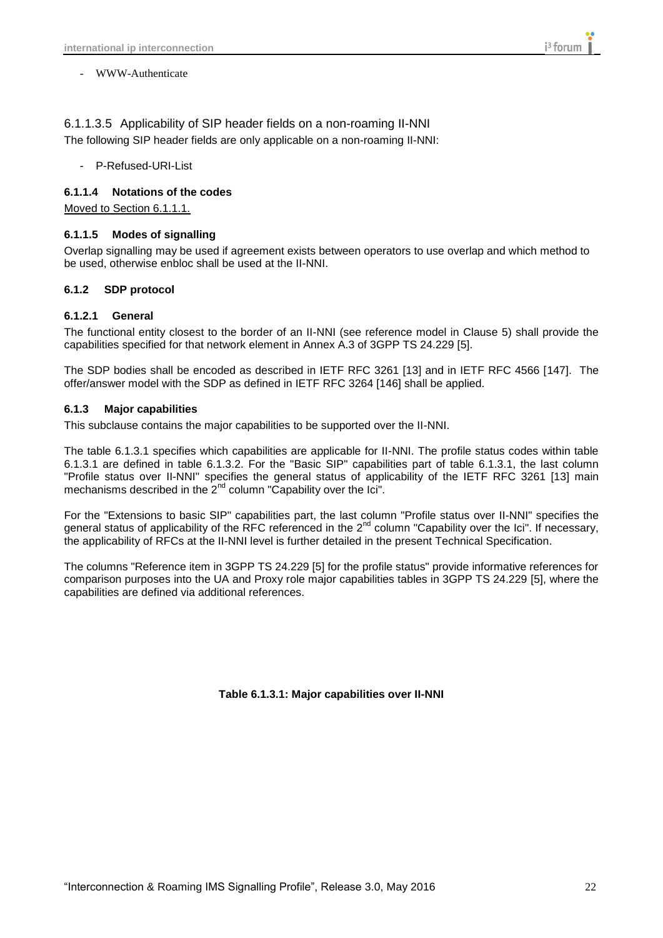- WWW-Authenticate

#### <span id="page-21-0"></span>6.1.1.3.5 Applicability of SIP header fields on a non-roaming II-NNI

The following SIP header fields are only applicable on a non-roaming II-NNI:

- P-Refused-URI-List

#### <span id="page-21-1"></span>**6.1.1.4 Notations of the codes**

Moved to Section 6.1.1.1.

#### <span id="page-21-2"></span>**6.1.1.5 Modes of signalling**

Overlap signalling may be used if agreement exists between operators to use overlap and which method to be used, otherwise enbloc shall be used at the II-NNI.

#### <span id="page-21-3"></span>**6.1.2 SDP protocol**

#### <span id="page-21-4"></span>**6.1.2.1 General**

The functional entity closest to the border of an II-NNI (see reference model in Clause 5) shall provide the capabilities specified for that network element in Annex A.3 of 3GPP TS 24.229 [5].

The SDP bodies shall be encoded as described in IETF RFC 3261 [13] and in IETF RFC 4566 [147]. The offer/answer model with the SDP as defined in IETF RFC 3264 [146] shall be applied.

#### <span id="page-21-5"></span>**6.1.3 Major capabilities**

This subclause contains the major capabilities to be supported over the II-NNI.

The table 6.1.3.1 specifies which capabilities are applicable for II-NNI. The profile status codes within table 6.1.3.1 are defined in table 6.1.3.2. For the "Basic SIP" capabilities part of table 6.1.3.1, the last column "Profile status over II-NNI" specifies the general status of applicability of the IETF RFC 3261 [13] main mechanisms described in the  $2^{nd}$  column "Capability over the Ici".

For the "Extensions to basic SIP" capabilities part, the last column "Profile status over II-NNI" specifies the general status of applicability of the RFC referenced in the  $2^{nd}$  column "Capability over the Ici". If necessary, the applicability of RFCs at the II-NNI level is further detailed in the present Technical Specification.

The columns "Reference item in 3GPP TS 24.229 [5] for the profile status" provide informative references for comparison purposes into the UA and Proxy role major capabilities tables in 3GPP TS 24.229 [5], where the capabilities are defined via additional references.

**Table 6.1.3.1: Major capabilities over II-NNI**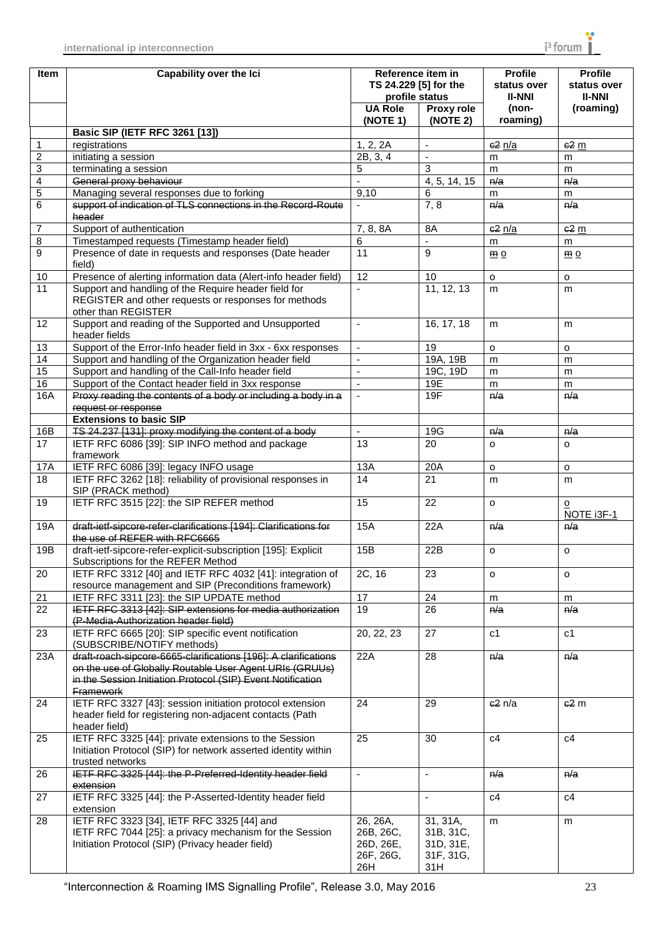| <b>Item</b>             | <b>Capability over the Ici</b>                                                                                                                            | Reference item in<br>TS 24.229 [5] for the<br>profile status |                                                        | <b>Profile</b><br>status over<br><b>II-NNI</b> | <b>Profile</b><br>status over<br><b>II-NNI</b> |
|-------------------------|-----------------------------------------------------------------------------------------------------------------------------------------------------------|--------------------------------------------------------------|--------------------------------------------------------|------------------------------------------------|------------------------------------------------|
|                         |                                                                                                                                                           | <b>UA Role</b><br>(NOTE 1)                                   | Proxy role<br>(NOTE 2)                                 | (non-<br>roaming)                              | (roaming)                                      |
|                         | <b>Basic SIP (IETF RFC 3261 [13])</b>                                                                                                                     |                                                              |                                                        |                                                |                                                |
| 1                       | registrations                                                                                                                                             | 1, 2, 2A                                                     | $\blacksquare$                                         | c2n/a                                          | $62 \text{ m}$                                 |
| $\overline{2}$          | initiating a session                                                                                                                                      | 2B, 3, 4                                                     | $\blacksquare$                                         | m                                              | m                                              |
| 3                       | terminating a session                                                                                                                                     | 5                                                            | 3                                                      | m                                              | m                                              |
| $\overline{\mathbf{4}}$ | General proxy behaviour                                                                                                                                   | $\overline{\phantom{a}}$                                     | $\overline{4}$ , 5, 14, 15                             | n/a                                            | n/a                                            |
| $\overline{5}$          | Managing several responses due to forking                                                                                                                 | 9,10                                                         | 6                                                      | m                                              | m                                              |
| 6                       | support of indication of TLS connections in the Record-Route<br>header                                                                                    |                                                              | 7, 8                                                   | n/a                                            | n/a                                            |
| $\overline{7}$          | Support of authentication                                                                                                                                 | 7, 8, 8A                                                     | 8A                                                     | c2n/a                                          | $62 \text{ m}$                                 |
| 8                       | Timestamped requests (Timestamp header field)                                                                                                             | 6                                                            | $\mathbf{r}$                                           | m                                              | m                                              |
| 9                       | Presence of date in requests and responses (Date header<br>field)                                                                                         | $\overline{11}$                                              | 9                                                      | $\underline{m}$ o                              | $\underline{m}$ o                              |
| 10                      | Presence of alerting information data (Alert-info header field)                                                                                           | 12                                                           | 10                                                     | $\circ$                                        | $\circ$                                        |
| 11                      | Support and handling of the Require header field for<br>REGISTER and other requests or responses for methods<br>other than REGISTER                       | $\blacksquare$                                               | 11, 12, 13                                             | m                                              | m                                              |
| 12                      | Support and reading of the Supported and Unsupported<br>header fields                                                                                     | $\blacksquare$                                               | 16, 17, 18                                             | m                                              | m                                              |
| 13                      | Support of the Error-Info header field in 3xx - 6xx responses                                                                                             | $\blacksquare$                                               | 19                                                     | $\Omega$                                       | $\circ$                                        |
| 14                      | Support and handling of the Organization header field                                                                                                     | $\overline{\phantom{a}}$                                     | 19A, 19B                                               | m                                              | m                                              |
| 15                      | Support and handling of the Call-Info header field                                                                                                        | $\blacksquare$                                               | 19C, 19D                                               | m                                              | m                                              |
| 16                      | Support of the Contact header field in 3xx response                                                                                                       | $\blacksquare$                                               | 19E                                                    | m                                              | m                                              |
| 16A                     | Proxy reading the contents of a body or including a body in a                                                                                             | $\sim$                                                       | 19F                                                    | n/a                                            | n/a                                            |
|                         | request or response                                                                                                                                       |                                                              |                                                        |                                                |                                                |
|                         | <b>Extensions to basic SIP</b>                                                                                                                            |                                                              |                                                        |                                                |                                                |
| 16B                     | TS 24.237 [131]: proxy modifying the content of a body                                                                                                    | $\blacksquare$                                               | 19G                                                    | n/a                                            | n/a                                            |
| 17                      | IETF RFC 6086 [39]: SIP INFO method and package<br>framework                                                                                              | 13                                                           | 20                                                     | $\Omega$                                       | $\circ$                                        |
| 17A                     | IETF RFC 6086 [39]: legacy INFO usage                                                                                                                     | 13A                                                          | 20A                                                    | $\mathsf{o}$                                   | $\mathsf{o}$                                   |
| 18                      | IETF RFC 3262 [18]: reliability of provisional responses in<br>SIP (PRACK method)                                                                         | 14                                                           | 21                                                     | m                                              | m                                              |
| 19                      | IETF RFC 3515 [22]: the SIP REFER method                                                                                                                  | 15                                                           | 22                                                     | $\circ$                                        | о<br>NOTE i3F-1                                |
| 19A                     | draft-ietf-sipcore-refer-clarifications [194]: Clarifications for<br>the use of REFER with RFC6665                                                        | 15A                                                          | 22A                                                    | n/a                                            | n/a                                            |
| 19B                     | draft-ietf-sipcore-refer-explicit-subscription [195]: Explicit<br>Subscriptions for the REFER Method                                                      | 15B                                                          | 22B                                                    | $\Omega$                                       | $\circ$                                        |
| 20                      | IETF RFC 3312 [40] and IETF RFC 4032 [41]: integration of<br>2C, 16<br>resource management and SIP (Preconditions framework)                              |                                                              | 23                                                     | $\circ$                                        | $\circ$                                        |
| 21                      | IETF RFC 3311 [23]: the SIP UPDATE method                                                                                                                 | 17                                                           | 24                                                     | m                                              | m                                              |
| 22                      | IETF RFC 3313 [42]: SIP extensions for media authorization<br>(P-Media-Authorization header field)                                                        | 19                                                           | $\overline{26}$                                        | h/a                                            | h/a                                            |
| 23                      | IETF RFC 6665 [20]: SIP specific event notification<br>(SUBSCRIBE/NOTIFY methods)                                                                         | 20, 22, 23                                                   | 27                                                     | c <sub>1</sub>                                 | c1                                             |
| 23A                     | draft-roach-sipcore-6665-clarifications [196]: A clarifications<br>on the use of Globally Routable User Agent URIs (GRUUs)                                | 22A                                                          | 28                                                     | n/a                                            | n/a                                            |
|                         | in the Session Initiation Protocol (SIP) Event Notification<br><b>Framework</b>                                                                           |                                                              |                                                        |                                                |                                                |
| 24                      | IETF RFC 3327 [43]: session initiation protocol extension<br>header field for registering non-adjacent contacts (Path<br>header field)                    | 24                                                           | 29                                                     | $e2$ n/a                                       | $e2$ m                                         |
| 25                      | IETF RFC 3325 [44]: private extensions to the Session<br>Initiation Protocol (SIP) for network asserted identity within                                   | 25                                                           | 30                                                     | c4                                             | c4                                             |
|                         | trusted networks                                                                                                                                          |                                                              |                                                        |                                                |                                                |
| 26                      | IETF RFC 3325 [44]: the P-Preferred-Identity header field<br>extension                                                                                    | $\overline{\phantom{a}}$                                     | $\overline{\phantom{a}}$                               | n/a                                            | n/a                                            |
| 27                      | IETF RFC 3325 [44]: the P-Asserted-Identity header field<br>extension                                                                                     |                                                              |                                                        | c4                                             | c4                                             |
| 28                      | IETF RFC 3323 [34], IETF RFC 3325 [44] and<br>IETF RFC 7044 [25]: a privacy mechanism for the Session<br>Initiation Protocol (SIP) (Privacy header field) | 26, 26A,<br>26B, 26C,<br>26D, 26E,<br>26F, 26G,<br>26H       | 31, 31A,<br>31B, 31C,<br>31D, 31E,<br>31F, 31G,<br>31H | m                                              | m                                              |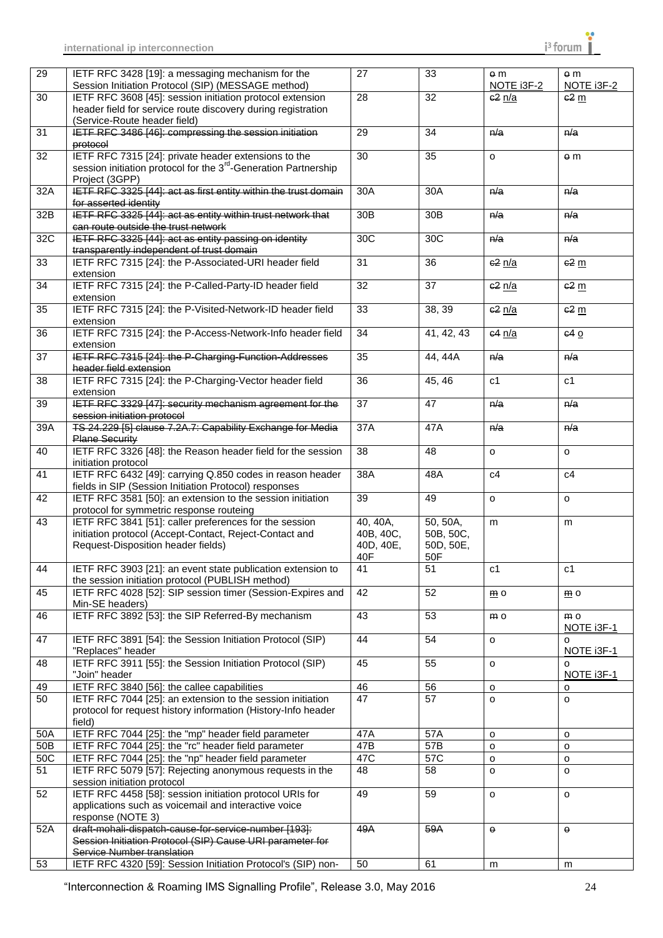| $\overline{29}$ | IETF RFC 3428 [19]: a messaging mechanism for the<br>Session Initiation Protocol (SIP) (MESSAGE method) | 27              | 33              | e <sub>m</sub><br>NOTE i3F-2 | $\theta$ m<br>NOTE i3F-2 |
|-----------------|---------------------------------------------------------------------------------------------------------|-----------------|-----------------|------------------------------|--------------------------|
| 30              | IETF RFC 3608 [45]: session initiation protocol extension                                               | 28              | $\overline{32}$ |                              |                          |
|                 |                                                                                                         |                 |                 | $c2$ n/a                     | 62 <sub>m</sub>          |
|                 | header field for service route discovery during registration                                            |                 |                 |                              |                          |
|                 | (Service-Route header field)                                                                            |                 |                 |                              |                          |
| 31              | IETF RFC 3486 [46]: compressing the session initiation                                                  | 29              | 34              | n/a                          | n/a                      |
|                 | protocol                                                                                                |                 |                 |                              |                          |
| 32              | IETF RFC 7315 [24]: private header extensions to the                                                    | $\overline{30}$ | $\overline{35}$ | $\circ$                      | $\theta$ m               |
|                 | session initiation protocol for the 3 <sup>rd</sup> -Generation Partnership                             |                 |                 |                              |                          |
|                 |                                                                                                         |                 |                 |                              |                          |
|                 | Project (3GPP)                                                                                          |                 |                 |                              |                          |
| 32A             | IETF RFC 3325 [44]: act as first entity within the trust domain                                         | 30A             | 30A             | n/a                          | n/a                      |
|                 | for asserted identity                                                                                   |                 |                 |                              |                          |
| 32B             | IETF RFC 3325 [44]: act as entity within trust network that                                             | 30B             | 30B             | n/a                          | n/a                      |
|                 | can route outside the trust network                                                                     |                 |                 |                              |                          |
| 32C             | IETF RFC 3325 [44]: act as entity passing on identity                                                   | 30C             | 30C             | n/a                          | n/a                      |
|                 |                                                                                                         |                 |                 |                              |                          |
|                 | transparently independent of trust domain                                                               |                 |                 |                              |                          |
| 33              | IETF RFC 7315 [24]: the P-Associated-URI header field                                                   | 31              | 36              | $e^2$ n/a                    | $-62$ m                  |
|                 | extension                                                                                               |                 |                 |                              |                          |
| 34              | IETF RFC 7315 [24]: the P-Called-Party-ID header field                                                  | 32              | 37              | $c2$ $n/a$                   | $62 \text{ m}$           |
|                 | extension                                                                                               |                 |                 |                              |                          |
|                 |                                                                                                         |                 |                 |                              |                          |
| 35              | IETF RFC 7315 [24]: the P-Visited-Network-ID header field                                               | 33              | 38, 39          | $e^2$ n/a                    | $-62$ m                  |
|                 | extension                                                                                               |                 |                 |                              |                          |
| 36              | IETF RFC 7315 [24]: the P-Access-Network-Info header field                                              | 34              | 41, 42, 43      | 64 n/a                       | 640                      |
|                 | extension                                                                                               |                 |                 |                              |                          |
| $\overline{37}$ | IETF RFC 7315 [24]: the P-Charging-Function-Addresses                                                   | $\overline{35}$ | 44, 44A         | n/a                          | n/a                      |
|                 |                                                                                                         |                 |                 |                              |                          |
|                 | header field extension                                                                                  |                 |                 |                              |                          |
| 38              | IETF RFC 7315 [24]: the P-Charging-Vector header field                                                  | 36              | 45, 46          | c1                           | c1                       |
|                 | extension                                                                                               |                 |                 |                              |                          |
| 39              | IETF RFC 3329 [47]: security mechanism agreement for the                                                | 37              | 47              | n/a                          | n/a                      |
|                 | session initiation protocol                                                                             |                 |                 |                              |                          |
| 39A             | TS 24.229 [5] clause 7.2A.7: Capability Exchange for Media                                              | 37A             | 47A             | n/a                          | n/a                      |
|                 |                                                                                                         |                 |                 |                              |                          |
|                 | <b>Plane Security</b>                                                                                   |                 |                 |                              |                          |
| 40              | IETF RFC 3326 [48]: the Reason header field for the session                                             | $\overline{38}$ | $\overline{48}$ | $\Omega$                     | $\circ$                  |
|                 | initiation protocol                                                                                     |                 |                 |                              |                          |
| 41              | IETF RFC 6432 [49]: carrying Q.850 codes in reason header                                               | 38A             | 48A             | c4                           | c4                       |
|                 | fields in SIP (Session Initiation Protocol) responses                                                   |                 |                 |                              |                          |
| 42              |                                                                                                         | 39              | 49              |                              |                          |
|                 | IETF RFC 3581 [50]: an extension to the session initiation                                              |                 |                 | $\circ$                      | $\circ$                  |
|                 | protocol for symmetric response routeing                                                                |                 |                 |                              |                          |
| 43              | IETF RFC 3841 [51]: caller preferences for the session                                                  | 40, 40A,        | 50, 50A,        | m                            | m                        |
|                 | initiation protocol (Accept-Contact, Reject-Contact and                                                 | 40B, 40C,       | 50B, 50C,       |                              |                          |
|                 | Request-Disposition header fields)                                                                      | 40D, 40E,       | 50D, 50E,       |                              |                          |
|                 |                                                                                                         | 40F             | 50F             |                              |                          |
| 44              | IETF RFC 3903 [21]: an event state publication extension to                                             | 41              | 51              | c <sub>1</sub>               | c <sub>1</sub>           |
|                 |                                                                                                         |                 |                 |                              |                          |
|                 | the session initiation protocol (PUBLISH method)                                                        |                 |                 |                              |                          |
| 45              | IETF RFC 4028 [52]: SIP session timer (Session-Expires and                                              | 42              | 52              | m <sub>o</sub>               | m <sub>o</sub>           |
|                 | Min-SE headers)                                                                                         |                 |                 |                              |                          |
| 46              | IETF RFC 3892 [53]: the SIP Referred-By mechanism                                                       | 43              | 53              | m o                          | m <sub>o</sub>           |
|                 |                                                                                                         |                 |                 |                              | NOTE i3F-1               |
|                 |                                                                                                         |                 |                 |                              |                          |
| 47              | IETF RFC 3891 [54]: the Session Initiation Protocol (SIP)                                               | 44              | 54              | o                            | $\circ$                  |
|                 | "Replaces" header                                                                                       |                 |                 |                              | NOTE i3F-1               |
| 48              | IETF RFC 3911 [55]: the Session Initiation Protocol (SIP)                                               | 45              | 55              | $\circ$                      | $\Omega$                 |
|                 | "Join" header                                                                                           |                 |                 |                              | NOTE i3F-1               |
| 49              | IETF RFC 3840 [56]: the callee capabilities                                                             | 46              | 56              | $\mathsf{o}\xspace$          | o                        |
| 50              | IETF RFC 7044 [25]: an extension to the session initiation                                              | 47              | 57              | $\circ$                      |                          |
|                 |                                                                                                         |                 |                 |                              | $\mathsf{o}$             |
|                 | protocol for request history information (History-Info header                                           |                 |                 |                              |                          |
|                 | field)                                                                                                  |                 |                 |                              |                          |
| 50A             | IETF RFC 7044 [25]: the "mp" header field parameter                                                     | 47A             | 57A             | $\mathsf{o}$                 | $\mathsf{o}$             |
| 50B             | IETF RFC 7044 [25]: the "rc" header field parameter                                                     | 47B             | 57B             | $\circ$                      | $\circ$                  |
| 50C             | IETF RFC 7044 [25]: the "np" header field parameter                                                     | 47C             | 57C             | $\mathsf{o}$                 | $\mathsf{o}$             |
|                 |                                                                                                         |                 |                 |                              |                          |
| 51              | IETF RFC 5079 [57]: Rejecting anonymous requests in the                                                 | 48              | 58              | $\circ$                      | $\Omega$                 |
|                 | session initiation protocol                                                                             |                 |                 |                              |                          |
| 52              | IETF RFC 4458 [58]: session initiation protocol URIs for                                                | 49              | 59              | $\mathsf{o}\xspace$          | $\mathsf{o}\xspace$      |
|                 | applications such as voicemail and interactive voice                                                    |                 |                 |                              |                          |
|                 | response (NOTE 3)                                                                                       |                 |                 |                              |                          |
| 52A             | draft-mohali-dispatch-cause-for-service-number [193]:                                                   | <b>49A</b>      | <b>59A</b>      | $\Theta$                     | $\boldsymbol{\Theta}$    |
|                 |                                                                                                         |                 |                 |                              |                          |
|                 | Session Initiation Protocol (SIP) Cause URI parameter for                                               |                 |                 |                              |                          |
|                 | Service Number translation                                                                              |                 |                 |                              |                          |
| 53              | IETF RFC 4320 [59]: Session Initiation Protocol's (SIP) non-                                            | 50              | 61              | m                            | m                        |

"Interconnection & Roaming IMS Signalling Profile", Release 3.0, May 2016 24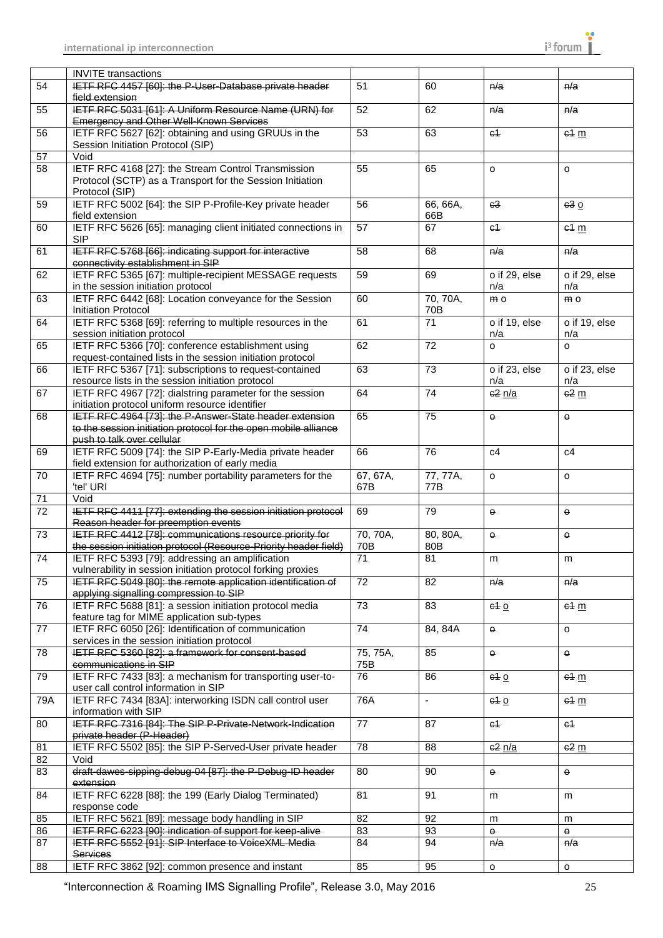|                 | <b>INVITE</b> transactions                                                                                                                               |                 |                             |                      |                      |
|-----------------|----------------------------------------------------------------------------------------------------------------------------------------------------------|-----------------|-----------------------------|----------------------|----------------------|
| 54              | IETF RFC 4457 [60]: the P-User-Database private header<br>field extension                                                                                | 51              | 60                          | n/a                  | n/a                  |
| 55              | IETF RFC 5031 [61]: A Uniform Resource Name (URN) for<br>Emergency and Other Well-Known Services                                                         | 52              | 62                          | n/a                  | n/a                  |
| 56              | IETF RFC 5627 [62]: obtaining and using GRUUs in the<br>Session Initiation Protocol (SIP)                                                                | 53              | 63                          | c <sub>1</sub>       | 64 m                 |
| 57              | Void                                                                                                                                                     |                 |                             |                      |                      |
| 58              | IETF RFC 4168 [27]: the Stream Control Transmission                                                                                                      | 55              | 65                          | $\circ$              | $\circ$              |
|                 | Protocol (SCTP) as a Transport for the Session Initiation<br>Protocol (SIP)                                                                              |                 |                             |                      |                      |
| 59              | IETF RFC 5002 [64]: the SIP P-Profile-Key private header<br>field extension                                                                              | 56              | 66, 66A,<br>66B             | c3                   | 630                  |
| 60              | IETF RFC 5626 [65]: managing client initiated connections in<br><b>SIP</b>                                                                               | 57              | 67                          | $64$                 | $e4 \text{ m}$       |
| 61              | IETF RFC 5768 [66]: indicating support for interactive<br>connectivity establishment in SIP                                                              | 58              | 68                          | n/a                  | n/a                  |
| 62              | IETF RFC 5365 [67]: multiple-recipient MESSAGE requests<br>in the session initiation protocol                                                            | 59              | 69                          | o if 29, else<br>n/a | o if 29, else<br>n/a |
| 63              | IETF RFC 6442 [68]: Location conveyance for the Session<br>Initiation Protocol                                                                           | 60              | 70, 70A,<br>70 <sub>B</sub> | m <sub>o</sub>       | m o                  |
| 64              | IETF RFC 5368 [69]: referring to multiple resources in the<br>session initiation protocol                                                                | 61              | $\overline{71}$             | o if 19, else<br>n/a | o if 19, else<br>n/a |
| 65              | IETF RFC 5366 [70]: conference establishment using<br>request-contained lists in the session initiation protocol                                         | 62              | 72                          | $\circ$              | $\circ$              |
| 66              | IETF RFC 5367 [71]: subscriptions to request-contained<br>resource lists in the session initiation protocol                                              | 63              | 73                          | o if 23, else<br>n/a | o if 23, else<br>n/a |
| 67              | IETF RFC 4967 [72]: dialstring parameter for the session<br>initiation protocol uniform resource identifier                                              | 64              | 74                          | c2n/a                | $62 \text{ m}$       |
| 68              | IETF RFC 4964 [73]: the P-Answer-State header extension<br>to the session initiation protocol for the open mobile alliance<br>push to talk over cellular | 65              | 75                          | $\pmb{\Theta}$       | $\Theta$             |
| 69              | IETF RFC 5009 [74]: the SIP P-Early-Media private header<br>field extension for authorization of early media                                             | 66              | 76                          | c4                   | c4                   |
| 70              | IETF RFC 4694 [75]: number portability parameters for the<br>'tel' URI                                                                                   | 67, 67A,<br>67B | 77, 77A,<br>77B             | o                    | $\circ$              |
| 71              | Void                                                                                                                                                     |                 |                             |                      |                      |
| $\overline{72}$ | IETF RFC 4411 [77]: extending the session initiation protocol<br>Reason header for preemption events                                                     | 69              | 79                          | $\mathbf \Theta$     | $\Theta$             |
| $\overline{73}$ | IETF RFC 4412 [78]: communications resource priority for                                                                                                 | 70, 70A,        | 80, 80A,                    | $\Theta$             | $\Theta$             |
|                 | the session initiation protocol (Resource-Priority header field)                                                                                         | 70B             | 80B                         |                      |                      |
| 74              | IETF RFC 5393 [79]: addressing an amplification<br>vulnerability in session initiation protocol forking proxies                                          | $\overline{71}$ | 81                          | m                    | m                    |
| 75              | IETF RFC 5049 [80]: the remote application identification of<br>applying signalling compression to SIP                                                   | 72              | 82                          | n/a                  | n/a                  |
| $\overline{76}$ | IETF RFC 5688 [81]: a session initiation protocol media<br>feature tag for MIME application sub-types                                                    | $\overline{73}$ | 83                          | 610                  | 64 m                 |
| 77              | IETF RFC 6050 [26]: Identification of communication<br>services in the session initiation protocol                                                       | $\overline{74}$ | 84, 84A                     | $\Theta$             | $\circ$              |
| 78              | IETF RFC 5360 [82]: a framework for consent-based<br>communications in SIP                                                                               | 75, 75A,<br>75B | 85                          | $\Theta$             | $\Theta$             |
| 79              | IETF RFC 7433 [83]: a mechanism for transporting user-to-<br>user call control information in SIP                                                        | 76              | 86                          | 610                  | 64 m                 |
| 79A             | IETF RFC 7434 [83A]: interworking ISDN call control user<br>information with SIP                                                                         | 76A             | $\omega$                    | e10                  | $e4 \text{ m}$       |
| 80              | IETF RFC 7316 [84]: The SIP P-Private-Network-Indication<br>private header (P-Header)                                                                    | 77              | 87                          | c <sub>1</sub>       | $64$                 |
| 81              | IETF RFC 5502 [85]: the SIP P-Served-User private header                                                                                                 | $\overline{78}$ | 88                          | e2n/a                | $e^2$ m              |
| 82              | Void                                                                                                                                                     |                 |                             |                      |                      |
| 83              | draft-dawes-sipping-debug-04 [87]: the P-Debug-ID header<br>extension                                                                                    | 80              | 90                          | $\Theta$             | $\Theta$             |
| 84              | IETF RFC 6228 [88]: the 199 (Early Dialog Terminated)<br>response code                                                                                   | 81              | 91                          | m                    | m                    |
| 85              | IETF RFC 5621 [89]: message body handling in SIP                                                                                                         | 82              | 92                          | m                    | m                    |
| 86              | IETF RFC 6223 [90]: indication of support for keep-alive                                                                                                 | 83              | 93                          | $\Theta$             | θ.                   |
| 87              | IETF RFC 5552 [91]: SIP Interface to VoiceXML Media<br><b>Services</b>                                                                                   | 84              | 94                          | n/a                  | n/a                  |
| 88              | IETF RFC 3862 [92]: common presence and instant                                                                                                          | 85              | 95                          | o                    | $\mathsf{o}$         |

"Interconnection & Roaming IMS Signalling Profile", Release 3.0, May 2016 25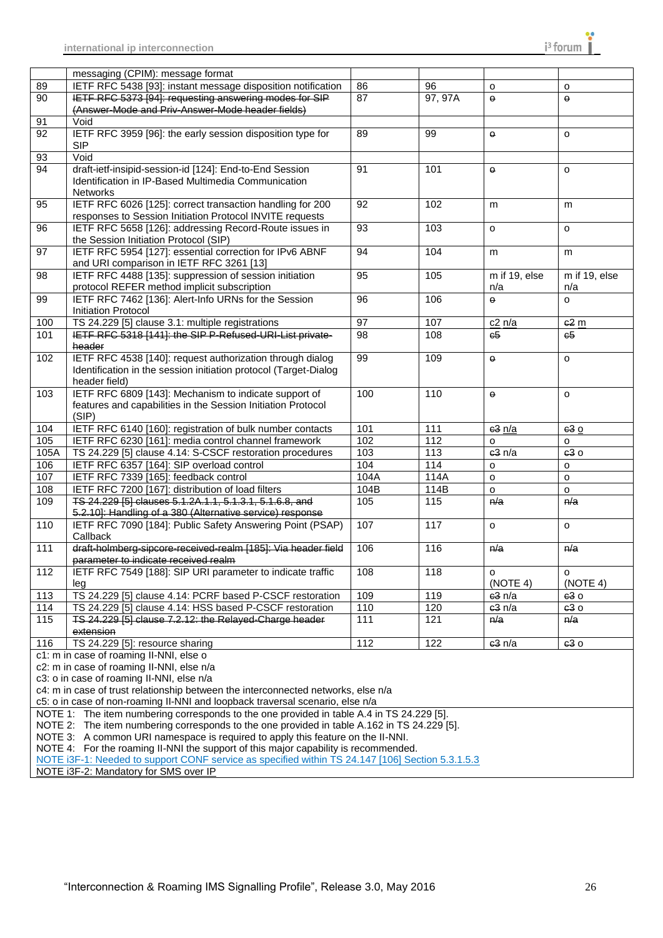

|                 | messaging (CPIM): message format                                                                                                                                                        |                 |         |               |                 |  |  |  |
|-----------------|-----------------------------------------------------------------------------------------------------------------------------------------------------------------------------------------|-----------------|---------|---------------|-----------------|--|--|--|
| 89              | IETF RFC 5438 [93]: instant message disposition notification                                                                                                                            | 86              | 96      | $\circ$       |                 |  |  |  |
| 90              | IETF RFC 5373 [94]: requesting answering modes for SIP                                                                                                                                  | 87              | 97, 97A | $\theta$      | o<br>$\theta$   |  |  |  |
|                 |                                                                                                                                                                                         |                 |         |               |                 |  |  |  |
|                 | (Answer-Mode and Priv-Answer-Mode header fields)<br>Void                                                                                                                                |                 |         |               |                 |  |  |  |
| 91              |                                                                                                                                                                                         |                 |         |               |                 |  |  |  |
| 92              | IETF RFC 3959 [96]: the early session disposition type for                                                                                                                              | 89              | 99      | $\Theta$      | o               |  |  |  |
|                 | <b>SIP</b>                                                                                                                                                                              |                 |         |               |                 |  |  |  |
| 93              | Void                                                                                                                                                                                    |                 |         |               |                 |  |  |  |
| 94              | draft-ietf-insipid-session-id [124]: End-to-End Session                                                                                                                                 | 91              | 101     | $\Theta$      | $\circ$         |  |  |  |
|                 | Identification in IP-Based Multimedia Communication                                                                                                                                     |                 |         |               |                 |  |  |  |
|                 | <b>Networks</b>                                                                                                                                                                         |                 |         |               |                 |  |  |  |
| 95              | IETF RFC 6026 [125]: correct transaction handling for 200<br>92<br>102<br>m<br>m                                                                                                        |                 |         |               |                 |  |  |  |
|                 | responses to Session Initiation Protocol INVITE requests                                                                                                                                |                 |         |               |                 |  |  |  |
| 96              | IETF RFC 5658 [126]: addressing Record-Route issues in                                                                                                                                  | 93              | 103     | $\circ$       | o               |  |  |  |
|                 | the Session Initiation Protocol (SIP)                                                                                                                                                   |                 |         |               |                 |  |  |  |
| 97              | IETF RFC 5954 [127]: essential correction for IPv6 ABNF                                                                                                                                 | 94              | 104     | m             | m               |  |  |  |
|                 | and URI comparison in IETF RFC 3261 [13]                                                                                                                                                |                 |         |               |                 |  |  |  |
| 98              | IETF RFC 4488 [135]: suppression of session initiation                                                                                                                                  | 95              | 105     | m if 19, else | m if 19, else   |  |  |  |
|                 | protocol REFER method implicit subscription                                                                                                                                             |                 |         | n/a           | n/a             |  |  |  |
| 99              | IETF RFC 7462 [136]: Alert-Info URNs for the Session                                                                                                                                    | $\overline{96}$ | 106     | $\theta$      | $\circ$         |  |  |  |
|                 | Initiation Protocol                                                                                                                                                                     |                 |         |               |                 |  |  |  |
| 100             | TS 24.229 [5] clause 3.1: multiple registrations                                                                                                                                        | 97              | 107     | c2n/a         | 62 <sub>m</sub> |  |  |  |
| 101             | IETF RFC 5318 [141]: the SIP P-Refused-URI-List private-                                                                                                                                | 98              | 108     | 65            | c5              |  |  |  |
|                 | header                                                                                                                                                                                  |                 |         |               |                 |  |  |  |
| 102             | IETF RFC 4538 [140]: request authorization through dialog                                                                                                                               | 99              | 109     | $\Theta$      | $\circ$         |  |  |  |
|                 | Identification in the session initiation protocol (Target-Dialog                                                                                                                        |                 |         |               |                 |  |  |  |
|                 | header field)                                                                                                                                                                           |                 |         |               |                 |  |  |  |
| 103             | IETF RFC 6809 [143]: Mechanism to indicate support of                                                                                                                                   | 100             | 110     | $\theta$      | $\circ$         |  |  |  |
|                 | features and capabilities in the Session Initiation Protocol                                                                                                                            |                 |         |               |                 |  |  |  |
|                 | (SIP)                                                                                                                                                                                   |                 |         |               |                 |  |  |  |
| 104             | IETF RFC 6140 [160]: registration of bulk number contacts                                                                                                                               | 101             | 111     | e3n/a         | 630             |  |  |  |
| 105             | IETF RFC 6230 [161]: media control channel framework                                                                                                                                    | 102             | 112     | $\mathsf{o}$  | $\circ$         |  |  |  |
| 105A            | TS 24.229 [5] clause 4.14: S-CSCF restoration procedures<br>103<br>113<br>e3n/a                                                                                                         |                 |         |               |                 |  |  |  |
| 10 <sub>6</sub> | IETF RFC 6357 [164]: SIP overload control<br>104<br>114<br>o                                                                                                                            |                 |         |               | o               |  |  |  |
| 107             | IETF RFC 7339 [165]: feedback control                                                                                                                                                   | 104A            | 114A    | $\mathsf{o}$  | $\circ$         |  |  |  |
| 108             | 104B<br>IETF RFC 7200 [167]: distribution of load filters<br>114B<br>$\mathsf{o}$<br>o                                                                                                  |                 |         |               |                 |  |  |  |
| 109             | TS 24.229 [5] clauses 5.1.2A.1.1, 5.1.3.1, 5.1.6.8, and                                                                                                                                 | 105             | 115     | n/a           | n/a             |  |  |  |
|                 | 5.2.10]: Handling of a 380 (Alternative service) response                                                                                                                               |                 |         |               |                 |  |  |  |
| 110             | 107<br>117<br>IETF RFC 7090 [184]: Public Safety Answering Point (PSAP)<br>$\circ$<br>o                                                                                                 |                 |         |               |                 |  |  |  |
|                 | Callback                                                                                                                                                                                |                 |         |               |                 |  |  |  |
| 111             | draft-holmberg-sipcore-received-realm [185]: Via header field                                                                                                                           | 106             | 116     | n/a           | n/a             |  |  |  |
|                 | parameter to indicate received realm                                                                                                                                                    |                 |         |               |                 |  |  |  |
| 112             | IETF RFC 7549 [188]: SIP URI parameter to indicate traffic                                                                                                                              | 108             | 118     | o             | o               |  |  |  |
|                 | leg                                                                                                                                                                                     |                 |         | (NOTE 4)      | (NOTE 4)        |  |  |  |
| 113             | TS 24.229 [5] clause 4.14: PCRF based P-CSCF restoration                                                                                                                                | 109             | 119     | 63 n/a        | 630             |  |  |  |
|                 |                                                                                                                                                                                         |                 |         |               | 630             |  |  |  |
|                 |                                                                                                                                                                                         |                 |         |               |                 |  |  |  |
| 114             | TS 24.229 [5] clause 4.14: HSS based P-CSCF restoration                                                                                                                                 | 110             | 120     | e3n/a         |                 |  |  |  |
| 115             | TS 24.229 [5] clause 7.2.12: the Relayed-Charge header                                                                                                                                  | 111             | 121     | n/a           | n/a             |  |  |  |
|                 | extension                                                                                                                                                                               |                 |         |               |                 |  |  |  |
| 116             | TS 24.229 [5]: resource sharing                                                                                                                                                         | 112             | 122     | e3n/a         | 630             |  |  |  |
|                 | c1: m in case of roaming II-NNI, else o                                                                                                                                                 |                 |         |               |                 |  |  |  |
|                 | c2: m in case of roaming II-NNI, else n/a                                                                                                                                               |                 |         |               |                 |  |  |  |
|                 | c3: o in case of roaming II-NNI, else n/a                                                                                                                                               |                 |         |               |                 |  |  |  |
|                 | c4: m in case of trust relationship between the interconnected networks, else n/a                                                                                                       |                 |         |               |                 |  |  |  |
|                 | c5: o in case of non-roaming II-NNI and loopback traversal scenario, else n/a                                                                                                           |                 |         |               |                 |  |  |  |
|                 | NOTE 1: The item numbering corresponds to the one provided in table A.4 in TS 24.229 [5].                                                                                               |                 |         |               |                 |  |  |  |
|                 | NOTE 2: The item numbering corresponds to the one provided in table A.162 in TS 24.229 [5].                                                                                             |                 |         |               |                 |  |  |  |
|                 | NOTE 3: A common URI namespace is required to apply this feature on the II-NNI.                                                                                                         |                 |         |               |                 |  |  |  |
|                 | NOTE 4: For the roaming II-NNI the support of this major capability is recommended.<br>NOTE i3F-1: Needed to support CONF service as specified within TS 24.147 [106] Section 5.3.1.5.3 |                 |         |               |                 |  |  |  |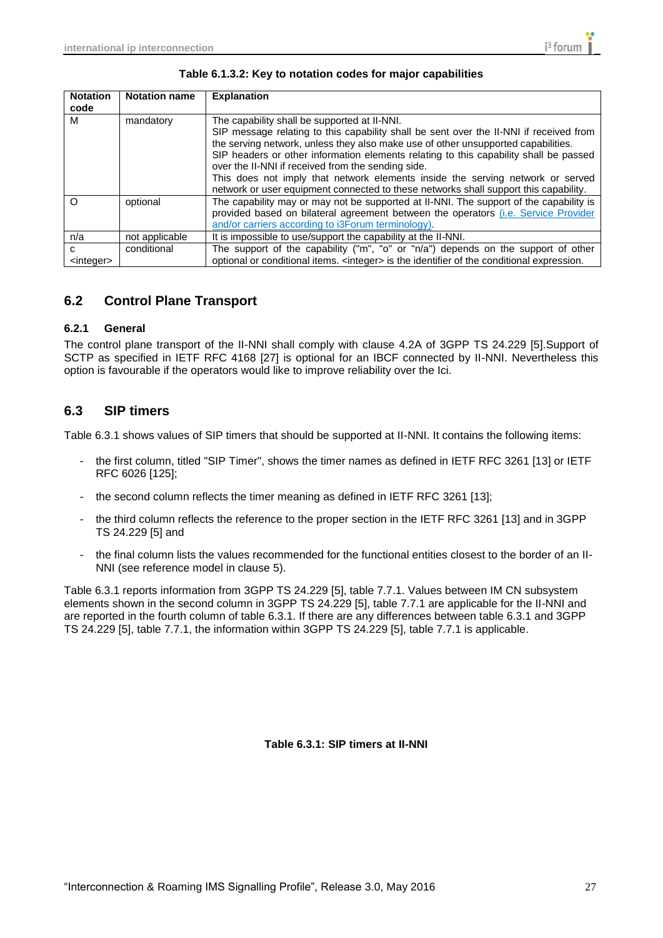| <b>Notation</b>           | <b>Notation name</b> | <b>Explanation</b>                                                                                                                                                                                                                                                                                                                                                                                                                                                                                                                                   |
|---------------------------|----------------------|------------------------------------------------------------------------------------------------------------------------------------------------------------------------------------------------------------------------------------------------------------------------------------------------------------------------------------------------------------------------------------------------------------------------------------------------------------------------------------------------------------------------------------------------------|
| code                      |                      |                                                                                                                                                                                                                                                                                                                                                                                                                                                                                                                                                      |
| м                         | mandatory            | The capability shall be supported at II-NNI.<br>SIP message relating to this capability shall be sent over the II-NNI if received from<br>the serving network, unless they also make use of other unsupported capabilities.<br>SIP headers or other information elements relating to this capability shall be passed<br>over the II-NNI if received from the sending side.<br>This does not imply that network elements inside the serving network or served<br>network or user equipment connected to these networks shall support this capability. |
| $\Omega$                  | optional             | The capability may or may not be supported at II-NNI. The support of the capability is<br>provided based on bilateral agreement between the operators (i.e. Service Provider<br>and/or carriers according to i3Forum terminology).                                                                                                                                                                                                                                                                                                                   |
| n/a                       | not applicable       | It is impossible to use/support the capability at the II-NNI.                                                                                                                                                                                                                                                                                                                                                                                                                                                                                        |
| C.<br><integer></integer> | conditional          | The support of the capability ("m", "o" or "n/a") depends on the support of other<br>optional or conditional items. <integer> is the identifier of the conditional expression.</integer>                                                                                                                                                                                                                                                                                                                                                             |

#### **Table 6.1.3.2: Key to notation codes for major capabilities**

## <span id="page-26-0"></span>**6.2 Control Plane Transport**

#### <span id="page-26-1"></span>**6.2.1 General**

The control plane transport of the II-NNI shall comply with clause 4.2A of 3GPP TS 24.229 [5].Support of SCTP as specified in IETF RFC 4168 [27] is optional for an IBCF connected by II-NNI. Nevertheless this option is favourable if the operators would like to improve reliability over the Ici.

### <span id="page-26-2"></span>**6.3 SIP timers**

Table 6.3.1 shows values of SIP timers that should be supported at II-NNI. It contains the following items:

- the first column, titled "SIP Timer", shows the timer names as defined in IETF RFC 3261 [13] or IETF RFC 6026 [125];
- the second column reflects the timer meaning as defined in IETF RFC 3261 [13];
- the third column reflects the reference to the proper section in the IETF RFC 3261 [13] and in 3GPP TS 24.229 [5] and
- the final column lists the values recommended for the functional entities closest to the border of an II-NNI (see reference model in clause 5).

Table 6.3.1 reports information from 3GPP TS 24.229 [5], table 7.7.1. Values between IM CN subsystem elements shown in the second column in 3GPP TS 24.229 [5], table 7.7.1 are applicable for the II-NNI and are reported in the fourth column of table 6.3.1. If there are any differences between table 6.3.1 and 3GPP TS 24.229 [5], table 7.7.1, the information within 3GPP TS 24.229 [5], table 7.7.1 is applicable.

**Table 6.3.1: SIP timers at II-NNI**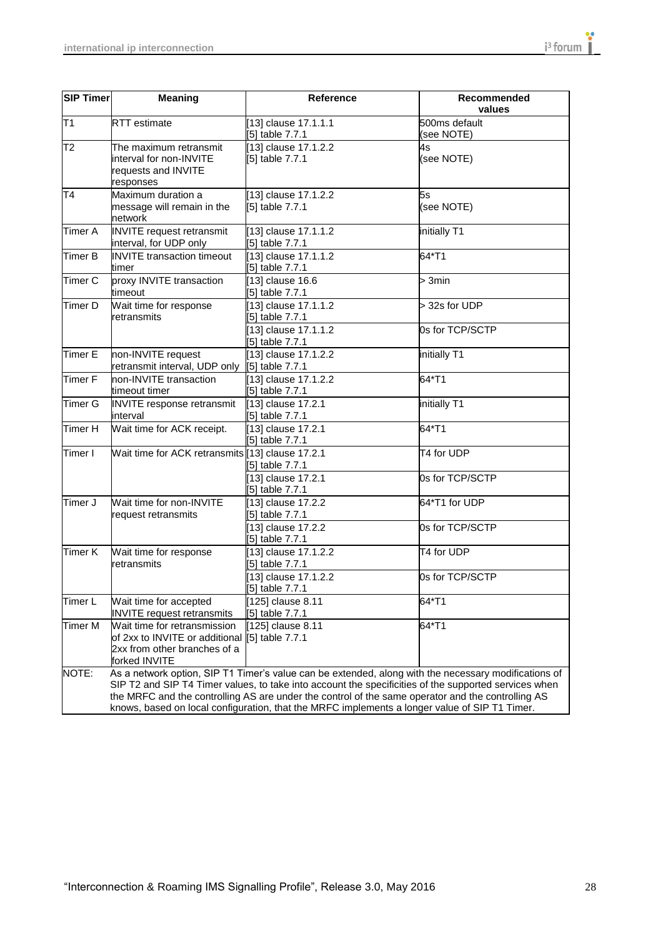| <b>SIP Timer</b> | <b>Meaning</b>                                                                                                                                                                                                                                                                                                                                                                                                      | <b>Reference</b>                        | Recommended<br>values       |  |  |
|------------------|---------------------------------------------------------------------------------------------------------------------------------------------------------------------------------------------------------------------------------------------------------------------------------------------------------------------------------------------------------------------------------------------------------------------|-----------------------------------------|-----------------------------|--|--|
| T1               | <b>RTT</b> estimate                                                                                                                                                                                                                                                                                                                                                                                                 | [13] clause 17.1.1.1<br>[5] table 7.7.1 | 500ms default<br>(see NOTE) |  |  |
| T2               | The maximum retransmit<br>interval for non-INVITE<br>requests and INVITE<br>responses                                                                                                                                                                                                                                                                                                                               | [13] clause 17.1.2.2<br>[5] table 7.7.1 | 4s<br>(see NOTE)            |  |  |
| T4               | Maximum duration a<br>message will remain in the<br>network                                                                                                                                                                                                                                                                                                                                                         | [13] clause 17.1.2.2<br>[5] table 7.7.1 | 5s<br>(see NOTE)            |  |  |
| Timer A          | <b>INVITE</b> request retransmit<br>interval, for UDP only                                                                                                                                                                                                                                                                                                                                                          | [13] clause 17.1.1.2<br>[5] table 7.7.1 | initially T1                |  |  |
| Timer B          | <b>INVITE</b> transaction timeout<br>timer                                                                                                                                                                                                                                                                                                                                                                          | [13] clause 17.1.1.2<br>[5] table 7.7.1 | 64*T1                       |  |  |
| Timer C          | proxy INVITE transaction<br>timeout                                                                                                                                                                                                                                                                                                                                                                                 | [13] clause 16.6<br>[5] table 7.7.1     | > 3min                      |  |  |
| Timer D          | Wait time for response<br>retransmits                                                                                                                                                                                                                                                                                                                                                                               | [13] clause 17.1.1.2<br>[5] table 7.7.1 | > 32s for UDP               |  |  |
|                  |                                                                                                                                                                                                                                                                                                                                                                                                                     | [13] clause 17.1.1.2<br>[5] table 7.7.1 | 0s for TCP/SCTP             |  |  |
| <b>Timer E</b>   | non-INVITE request<br>retransmit interval, UDP only                                                                                                                                                                                                                                                                                                                                                                 | [13] clause 17.1.2.2<br>[5] table 7.7.1 | initially T1                |  |  |
| <b>Timer F</b>   | non-INVITE transaction<br>timeout timer                                                                                                                                                                                                                                                                                                                                                                             | [13] clause 17.1.2.2<br>[5] table 7.7.1 | 64*T1                       |  |  |
| Timer G          | <b>INVITE</b> response retransmit<br>interval                                                                                                                                                                                                                                                                                                                                                                       | [13] clause 17.2.1<br>[5] table 7.7.1   | initially T1                |  |  |
| Timer H          | Wait time for ACK receipt.                                                                                                                                                                                                                                                                                                                                                                                          | [13] clause 17.2.1<br>[5] table 7.7.1   | 64*T1                       |  |  |
| Timer I          | Wait time for ACK retransmits [13] clause 17.2.1                                                                                                                                                                                                                                                                                                                                                                    | [5] table 7.7.1                         | T4 for UDP                  |  |  |
|                  |                                                                                                                                                                                                                                                                                                                                                                                                                     | [13] clause 17.2.1<br>[5] table 7.7.1   | 0s for TCP/SCTP             |  |  |
| Timer J          | Wait time for non-INVITE<br>request retransmits                                                                                                                                                                                                                                                                                                                                                                     | [13] clause 17.2.2<br>[5] table 7.7.1   | 64*T1 for UDP               |  |  |
|                  |                                                                                                                                                                                                                                                                                                                                                                                                                     | [13] clause 17.2.2<br>[5] table 7.7.1   | 0s for TCP/SCTP             |  |  |
| Timer K          | Wait time for response<br>retransmits                                                                                                                                                                                                                                                                                                                                                                               | [13] clause 17.1.2.2<br>[5] table 7.7.1 | T4 for UDP                  |  |  |
|                  |                                                                                                                                                                                                                                                                                                                                                                                                                     | [13] clause 17.1.2.2<br>[5] table 7.7.1 | 0s for TCP/SCTP             |  |  |
| Timer L          | Wait time for accepted<br><b>INVITE</b> request retransmits                                                                                                                                                                                                                                                                                                                                                         | [125] clause 8.11<br>[5] table 7.7.1    | 64*T1                       |  |  |
| Timer M          | Wait time for retransmission<br>of 2xx to INVITE or additional [5] table 7.7.1<br>2xx from other branches of a<br>forked INVITE                                                                                                                                                                                                                                                                                     | [125] clause 8.11                       | 64*T1                       |  |  |
| NOTE:            | As a network option, SIP T1 Timer's value can be extended, along with the necessary modifications of<br>SIP T2 and SIP T4 Timer values, to take into account the specificities of the supported services when<br>the MRFC and the controlling AS are under the control of the same operator and the controlling AS<br>knows, based on local configuration, that the MRFC implements a longer value of SIP T1 Timer. |                                         |                             |  |  |